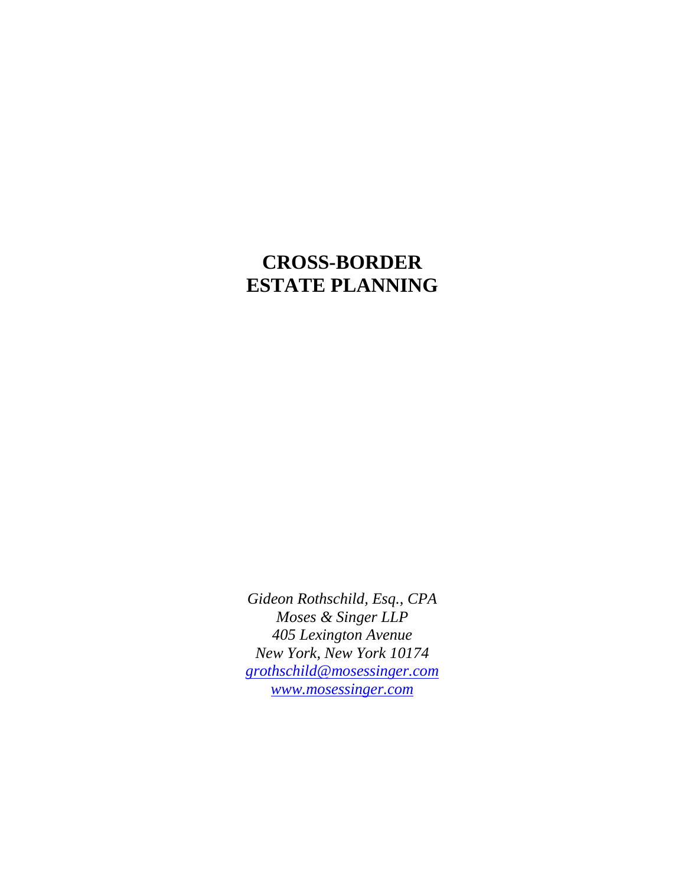# **CROSS-BORDER ESTATE PLANNING**

*Gideon Rothschild, Esq., CPA Moses & Singer LLP 405 Lexington Avenue New York, New York 10174 grothschild@mosessinger.com www.mosessinger.com*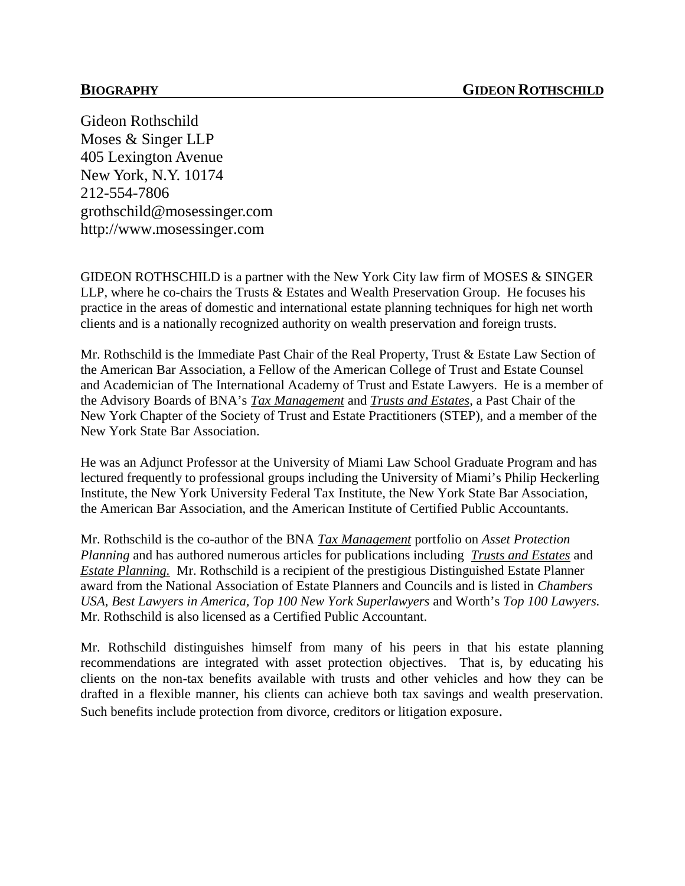Gideon Rothschild Moses & Singer LLP 405 Lexington Avenue New York, N.Y. 10174 212-554-7806 grothschild@mosessinger.com http://www.mosessinger.com

GIDEON ROTHSCHILD is a partner with the New York City law firm of MOSES & SINGER LLP, where he co-chairs the Trusts & Estates and Wealth Preservation Group. He focuses his practice in the areas of domestic and international estate planning techniques for high net worth clients and is a nationally recognized authority on wealth preservation and foreign trusts.

Mr. Rothschild is the Immediate Past Chair of the Real Property, Trust & Estate Law Section of the American Bar Association, a Fellow of the American College of Trust and Estate Counsel and Academician of The International Academy of Trust and Estate Lawyers. He is a member of the Advisory Boards of BNA's *Tax Management* and *Trusts and Estates*, a Past Chair of the New York Chapter of the Society of Trust and Estate Practitioners (STEP), and a member of the New York State Bar Association.

He was an Adjunct Professor at the University of Miami Law School Graduate Program and has lectured frequently to professional groups including the University of Miami's Philip Heckerling Institute, the New York University Federal Tax Institute, the New York State Bar Association, the American Bar Association, and the American Institute of Certified Public Accountants.

Mr. Rothschild is the co-author of the BNA *Tax Management* portfolio on *Asset Protection Planning* and has authored numerous articles for publications including *Trusts and Estates* and *Estate Planning.* Mr. Rothschild is a recipient of the prestigious Distinguished Estate Planner award from the National Association of Estate Planners and Councils and is listed in *Chambers USA*, *Best Lawyers in America, Top 100 New York Superlawyers* and Worth's *Top 100 Lawyers.* Mr. Rothschild is also licensed as a Certified Public Accountant.

Mr. Rothschild distinguishes himself from many of his peers in that his estate planning recommendations are integrated with asset protection objectives. That is, by educating his clients on the non-tax benefits available with trusts and other vehicles and how they can be drafted in a flexible manner, his clients can achieve both tax savings and wealth preservation. Such benefits include protection from divorce, creditors or litigation exposure.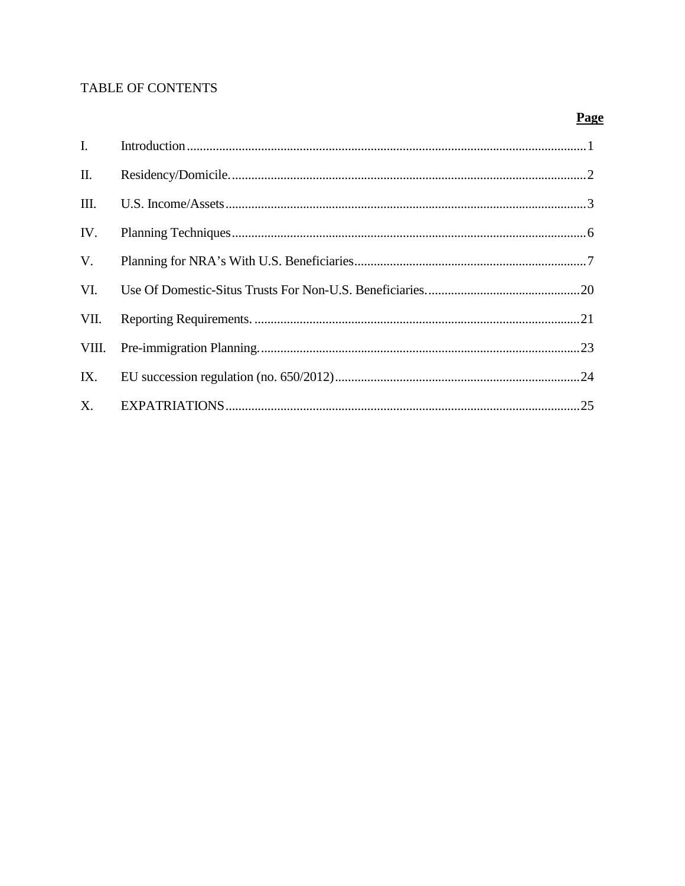# **TABLE OF CONTENTS**

# Page

| $\mathbf{I}$ |  |
|--------------|--|
| $\prod$ .    |  |
| III.         |  |
| IV.          |  |
| V.           |  |
| VI.          |  |
| VII.         |  |
| VIII.        |  |
| IX.          |  |
| $X_{\cdot}$  |  |
|              |  |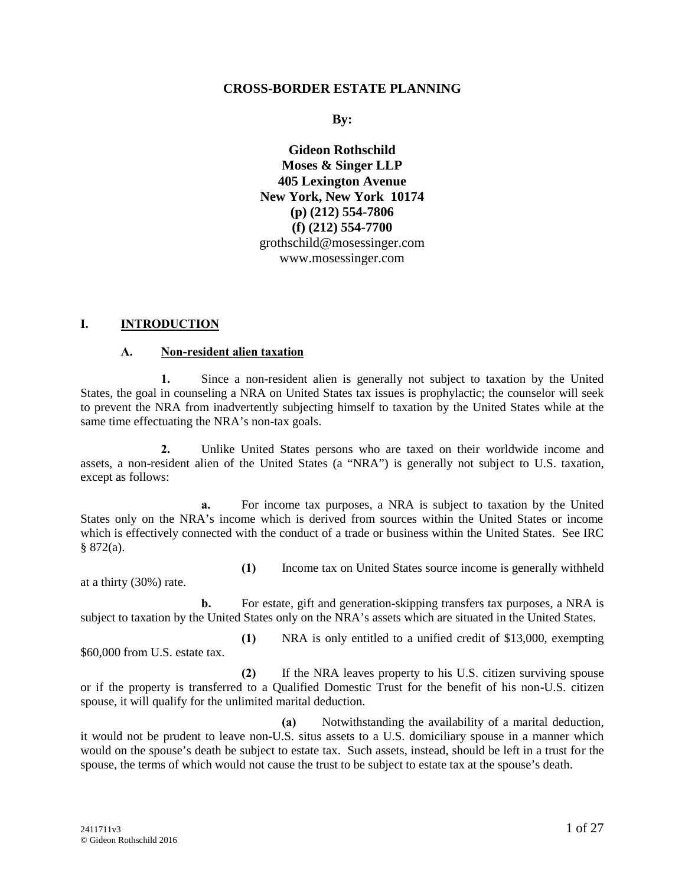#### **CROSS-BORDER ESTATE PLANNING**

**By:**

**Gideon Rothschild Moses & Singer LLP 405 Lexington Avenue New York, New York 10174 (p) (212) 554-7806 (f) (212) 554-7700** grothschild@mosessinger.com www.mosessinger.com

#### **I. INTRODUCTION**

#### **A. Non-resident alien taxation**

**1.** Since a non-resident alien is generally not subject to taxation by the United States, the goal in counseling a NRA on United States tax issues is prophylactic; the counselor will seek to prevent the NRA from inadvertently subjecting himself to taxation by the United States while at the same time effectuating the NRA's non-tax goals.

**2.** Unlike United States persons who are taxed on their worldwide income and assets, a non-resident alien of the United States (a "NRA") is generally not subject to U.S. taxation, except as follows:

**a.** For income tax purposes, a NRA is subject to taxation by the United States only on the NRA's income which is derived from sources within the United States or income which is effectively connected with the conduct of a trade or business within the United States. See IRC § 872(a).

at a thirty (30%) rate.

**(1)** Income tax on United States source income is generally withheld

**b.** For estate, gift and generation-skipping transfers tax purposes, a NRA is subject to taxation by the United States only on the NRA's assets which are situated in the United States.

\$60,000 from U.S. estate tax.

**(1)** NRA is only entitled to a unified credit of \$13,000, exempting

**(2)** If the NRA leaves property to his U.S. citizen surviving spouse or if the property is transferred to a Qualified Domestic Trust for the benefit of his non-U.S. citizen spouse, it will qualify for the unlimited marital deduction.

**(a)** Notwithstanding the availability of a marital deduction, it would not be prudent to leave non-U.S. situs assets to a U.S. domiciliary spouse in a manner which would on the spouse's death be subject to estate tax. Such assets, instead, should be left in a trust for the spouse, the terms of which would not cause the trust to be subject to estate tax at the spouse's death.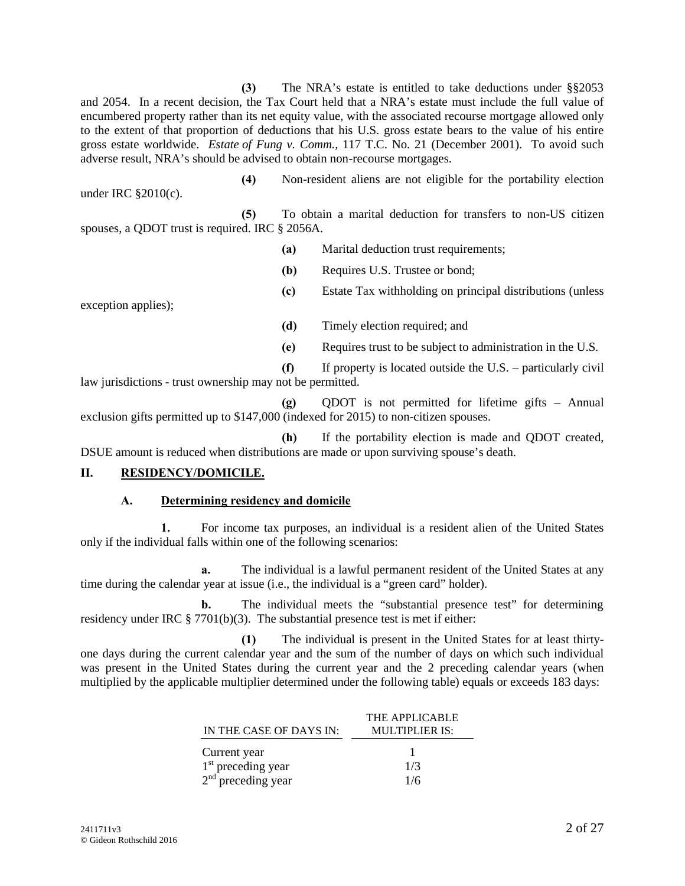**(3)** The NRA's estate is entitled to take deductions under §§2053 and 2054. In a recent decision, the Tax Court held that a NRA's estate must include the full value of encumbered property rather than its net equity value, with the associated recourse mortgage allowed only to the extent of that proportion of deductions that his U.S. gross estate bears to the value of his entire gross estate worldwide. *Estate of Fung v. Comm.,* 117 T.C. No. 21 (December 2001). To avoid such adverse result, NRA's should be advised to obtain non-recourse mortgages.

under IRC §2010(c).

**(4)** Non-resident aliens are not eligible for the portability election

**(5)** To obtain a marital deduction for transfers to non-US citizen spouses, a QDOT trust is required. IRC § 2056A.

**(a)** Marital deduction trust requirements;

**(b)** Requires U.S. Trustee or bond;

exception applies);

**(c)** Estate Tax withholding on principal distributions (unless

**(d)** Timely election required; and

**(e)** Requires trust to be subject to administration in the U.S.

**(f)** If property is located outside the U.S. – particularly civil law jurisdictions - trust ownership may not be permitted.

**(g)** QDOT is not permitted for lifetime gifts – Annual exclusion gifts permitted up to \$147,000 (indexed for 2015) to non-citizen spouses.

**(h)** If the portability election is made and QDOT created, DSUE amount is reduced when distributions are made or upon surviving spouse's death.

# **II. RESIDENCY/DOMICILE.**

#### **A. Determining residency and domicile**

**1.** For income tax purposes, an individual is a resident alien of the United States only if the individual falls within one of the following scenarios:

**a.** The individual is a lawful permanent resident of the United States at any time during the calendar year at issue (i.e., the individual is a "green card" holder).

**b.** The individual meets the "substantial presence test" for determining residency under IRC  $\S 7701(b)(3)$ . The substantial presence test is met if either:

**(1)** The individual is present in the United States for at least thirty one days during the current calendar year and the sum of the number of days on which such individual was present in the United States during the current year and the 2 preceding calendar years (when multiplied by the applicable multiplier determined under the following table) equals or exceeds 183 days:

|                         | THE APPLICABLE |
|-------------------------|----------------|
| IN THE CASE OF DAYS IN: | MULTIPLIER IS: |
| Current year            |                |
| $1st$ preceding year    | 1/3            |
| $2nd$ preceding year    | 1/6            |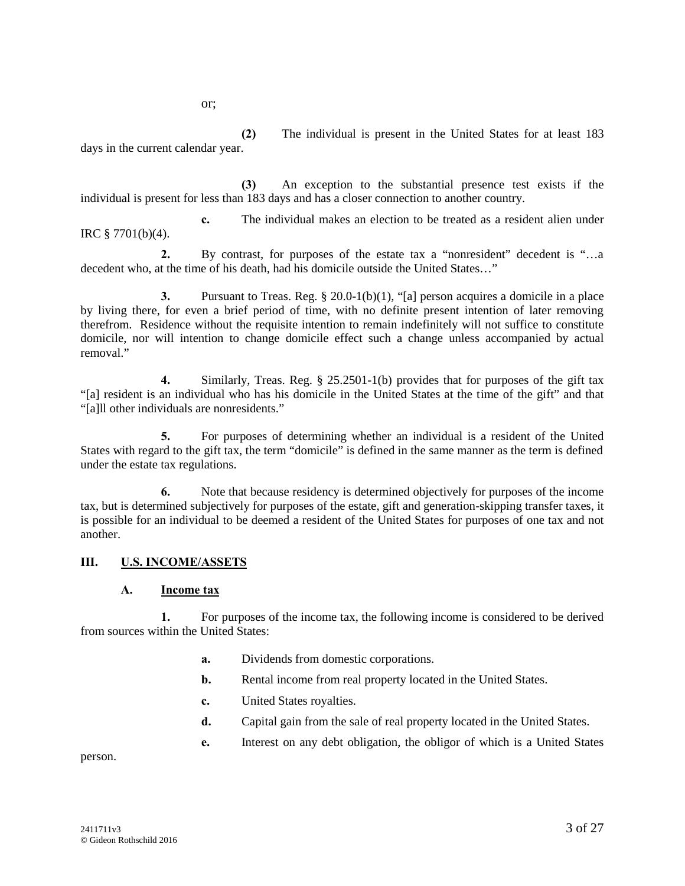or;

**(2)** The individual is present in the United States for at least 183 days in the current calendar year.

**(3)** An exception to the substantial presence test exists if the individual is present for less than 183 days and has a closer connection to another country.

**c.** The individual makes an election to be treated as a resident alien under IRC § 7701(b)(4).

**2.** By contrast, for purposes of the estate tax a "nonresident" decedent is "…a decedent who, at the time of his death, had his domicile outside the United States…"

**3.** Pursuant to Treas. Reg. § 20.0-1(b)(1), "[a] person acquires a domicile in a place by living there, for even a brief period of time, with no definite present intention of later removing therefrom. Residence without the requisite intention to remain indefinitely will not suffice to constitute domicile, nor will intention to change domicile effect such a change unless accompanied by actual removal"

**4.** Similarly, Treas. Reg. § 25.2501-1(b) provides that for purposes of the gift tax "[a] resident is an individual who has his domicile in the United States at the time of the gift" and that "[a]ll other individuals are nonresidents."

**5.** For purposes of determining whether an individual is a resident of the United States with regard to the gift tax, the term "domicile" is defined in the same manner as the term is defined under the estate tax regulations.

**6.** Note that because residency is determined objectively for purposes of the income tax, but is determined subjectively for purposes of the estate, gift and generation-skipping transfer taxes, it is possible for an individual to be deemed a resident of the United States for purposes of one tax and not another.

# **III. U.S. INCOME/ASSETS**

#### **A. Income tax**

**1.** For purposes of the income tax, the following income is considered to be derived from sources within the United States:

- **a.** Dividends from domestic corporations.
- **b.** Rental income from real property located in the United States.
- **c.** United States royalties.
- **d.** Capital gain from the sale of real property located in the United States.
- **e.** Interest on any debt obligation, the obligor of which is a United States

person.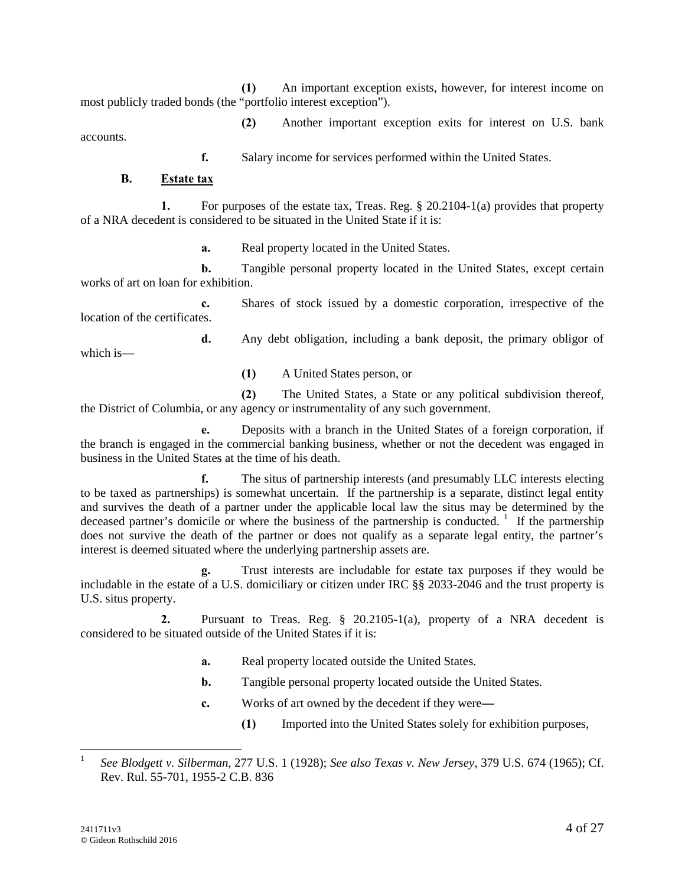**(1)** An important exception exists, however, for interest income on most publicly traded bonds (the "portfolio interest exception").

**(2)** Another important exception exits for interest on U.S. bank accounts.

**f.** Salary income for services performed within the United States.

#### **B. Estate tax**

**1.** For purposes of the estate tax, Treas. Reg. § 20.2104-1(a) provides that property of a NRA decedent is considered to be situated in the United State if it is:

**a.** Real property located in the United States.

**b.** Tangible personal property located in the United States, except certain works of art on loan for exhibition.

**c.** Shares of stock issued by a domestic corporation, irrespective of the location of the certificates.

**d.** Any debt obligation, including a bank deposit, the primary obligor of which is—

**(1)** A United States person, or

**(2)** The United States, a State or any political subdivision thereof, the District of Columbia, or any agency or instrumentality of any such government.

**e.** Deposits with a branch in the United States of a foreign corporation, if the branch is engaged in the commercial banking business, whether or not the decedent was engaged in business in the United States at the time of his death.

**f.** The situs of partnership interests (and presumably LLC interests electing to be taxed as partnerships) is somewhat uncertain. If the partnership is a separate, distinct legal entity and survives the death of a partner under the applicable local law the situs may be determined by the deceased partner's domicile or where the business of the partnership is conducted.<sup>1</sup> If the partnership does not survive the death of the partner or does not qualify as a separate legal entity, the partner's interest is deemed situated where the underlying partnership assets are.

**g.** Trust interests are includable for estate tax purposes if they would be includable in the estate of a U.S. domiciliary or citizen under IRC §§ 2033-2046 and the trust property is U.S. situs property.

**2.** Pursuant to Treas. Reg. § 20.2105-1(a), property of a NRA decedent is considered to be situated outside of the United States if it is:

- **a.** Real property located outside the United States.
- **b.** Tangible personal property located outside the United States.
- **c.** Works of art owned by the decedent if they were**—**
	- **(1)** Imported into the United States solely for exhibition purposes,

<sup>1</sup> *See Blodgett v. Silberman,* 277 U.S. 1 (1928); *See also Texas v. New Jersey*, 379 U.S. 674 (1965); Cf. Rev. Rul. 55-701, 1955-2 C.B. 836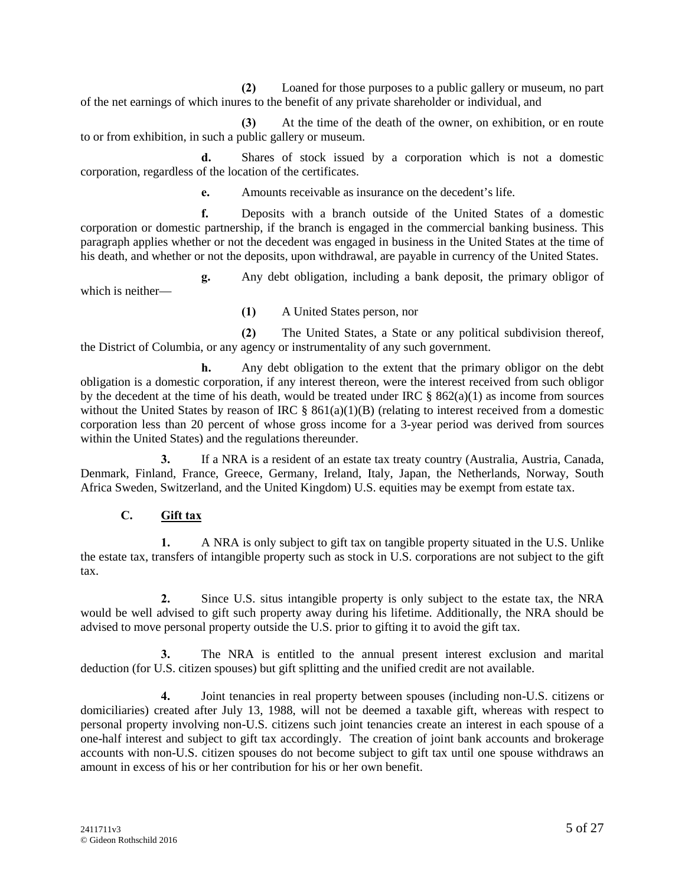**(2)** Loaned for those purposes to a public gallery or museum, no part of the net earnings of which inures to the benefit of any private shareholder or individual, and

**(3)** At the time of the death of the owner, on exhibition, or en route to or from exhibition, in such a public gallery or museum.

**d.** Shares of stock issued by a corporation which is not a domestic corporation, regardless of the location of the certificates.

**e.** Amounts receivable as insurance on the decedent's life.

**f.** Deposits with a branch outside of the United States of a domestic corporation or domestic partnership, if the branch is engaged in the commercial banking business. This paragraph applies whether or not the decedent was engaged in business in the United States at the time of his death, and whether or not the deposits, upon withdrawal, are payable in currency of the United States.

**g.** Any debt obligation, including a bank deposit, the primary obligor of which is neither—

**(1)** A United States person, nor

**(2)** The United States, a State or any political subdivision thereof, the District of Columbia, or any agency or instrumentality of any such government.

**h.** Any debt obligation to the extent that the primary obligor on the debt obligation is a domestic corporation, if any interest thereon, were the interest received from such obligor by the decedent at the time of his death, would be treated under IRC  $\S$  862(a)(1) as income from sources without the United States by reason of IRC  $\S$  861(a)(1)(B) (relating to interest received from a domestic corporation less than 20 percent of whose gross income for a 3-year period was derived from sources within the United States) and the regulations thereunder.

**3.** If a NRA is a resident of an estate tax treaty country (Australia, Austria, Canada, Denmark, Finland, France, Greece, Germany, Ireland, Italy, Japan, the Netherlands, Norway, South Africa Sweden, Switzerland, and the United Kingdom) U.S. equities may be exempt from estate tax.

# **C. Gift tax**

**1.** A NRA is only subject to gift tax on tangible property situated in the U.S. Unlike the estate tax, transfers of intangible property such as stock in U.S. corporations are not subject to the gift tax.

**2.** Since U.S. situs intangible property is only subject to the estate tax, the NRA would be well advised to gift such property away during his lifetime. Additionally, the NRA should be advised to move personal property outside the U.S. prior to gifting it to avoid the gift tax.

**3.** The NRA is entitled to the annual present interest exclusion and marital deduction (for U.S. citizen spouses) but gift splitting and the unified credit are not available.

**4.** Joint tenancies in real property between spouses (including non-U.S. citizens or domiciliaries) created after July 13, 1988, will not be deemed a taxable gift, whereas with respect to personal property involving non-U.S. citizens such joint tenancies create an interest in each spouse of a one-half interest and subject to gift tax accordingly. The creation of joint bank accounts and brokerage accounts with non-U.S. citizen spouses do not become subject to gift tax until one spouse withdraws an amount in excess of his or her contribution for his or her own benefit.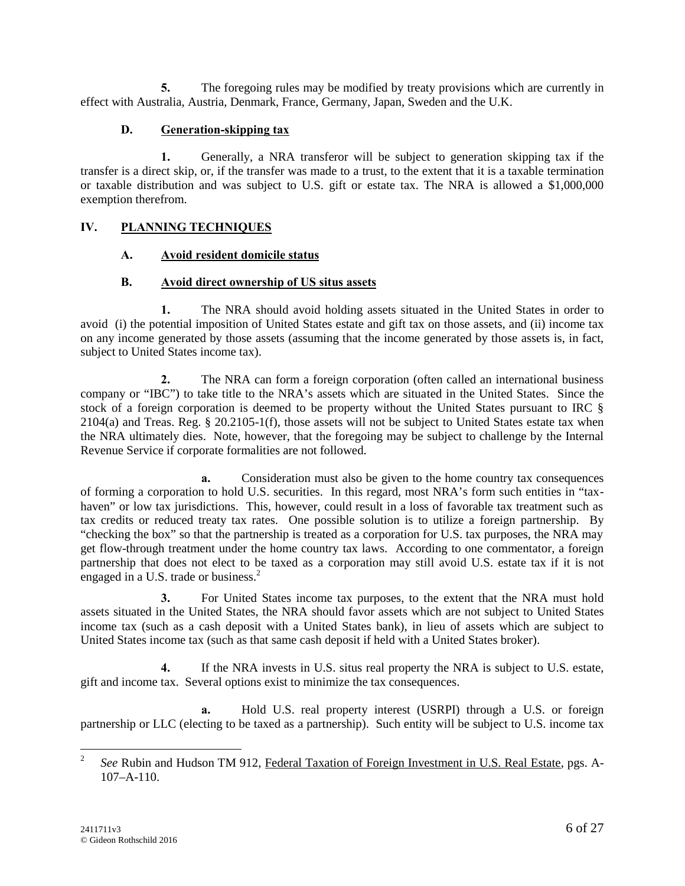**5.** The foregoing rules may be modified by treaty provisions which are currently in effect with Australia, Austria, Denmark, France, Germany, Japan, Sweden and the U.K.

# **D. Generation-skipping tax**

**1.** Generally, a NRA transferor will be subject to generation skipping tax if the transfer is a direct skip, or, if the transfer was made to a trust, to the extent that it is a taxable termination or taxable distribution and was subject to U.S. gift or estate tax. The NRA is allowed a \$1,000,000 exemption therefrom.

# **IV. PLANNING TECHNIQUES**

#### **A. Avoid resident domicile status**

#### **B. Avoid direct ownership of US situs assets**

**1.** The NRA should avoid holding assets situated in the United States in order to avoid (i) the potential imposition of United States estate and gift tax on those assets, and (ii) income tax on any income generated by those assets (assuming that the income generated by those assets is, in fact, subject to United States income tax).

**2.** The NRA can form a foreign corporation (often called an international business company or "IBC") to take title to the NRA's assets which are situated in the United States. Since the stock of a foreign corporation is deemed to be property without the United States pursuant to IRC § 2104(a) and Treas. Reg. § 20.2105-1(f), those assets will not be subject to United States estate tax when the NRA ultimately dies. Note, however, that the foregoing may be subject to challenge by the Internal Revenue Service if corporate formalities are not followed.

**a.** Consideration must also be given to the home country tax consequences of forming a corporation to hold U.S. securities. In this regard, most NRA's form such entities in "tax haven" or low tax jurisdictions. This, however, could result in a loss of favorable tax treatment such as tax credits or reduced treaty tax rates. One possible solution is to utilize a foreign partnership. By "checking the box" so that the partnership is treated as a corporation for U.S. tax purposes, the NRA may get flow-through treatment under the home country tax laws. According to one commentator, a foreign partnership that does not elect to be taxed as a corporation may still avoid U.S. estate tax if it is not engaged in a U.S. trade or business.<sup>2</sup>

**3.** For United States income tax purposes, to the extent that the NRA must hold assets situated in the United States, the NRA should favor assets which are not subject to United States income tax (such as a cash deposit with a United States bank), in lieu of assets which are subject to United States income tax (such as that same cash deposit if held with a United States broker).

**4.** If the NRA invests in U.S. situs real property the NRA is subject to U.S. estate, gift and income tax. Several options exist to minimize the tax consequences.

**a.** Hold U.S. real property interest (USRPI) through a U.S. or foreign partnership or LLC (electing to be taxed as a partnership). Such entity will be subject to U.S. income tax

<sup>&</sup>lt;sup>2</sup> *See* Rubin and Hudson TM 912, Federal Taxation of Foreign Investment in U.S. Real Estate, pgs. A-107–A-110.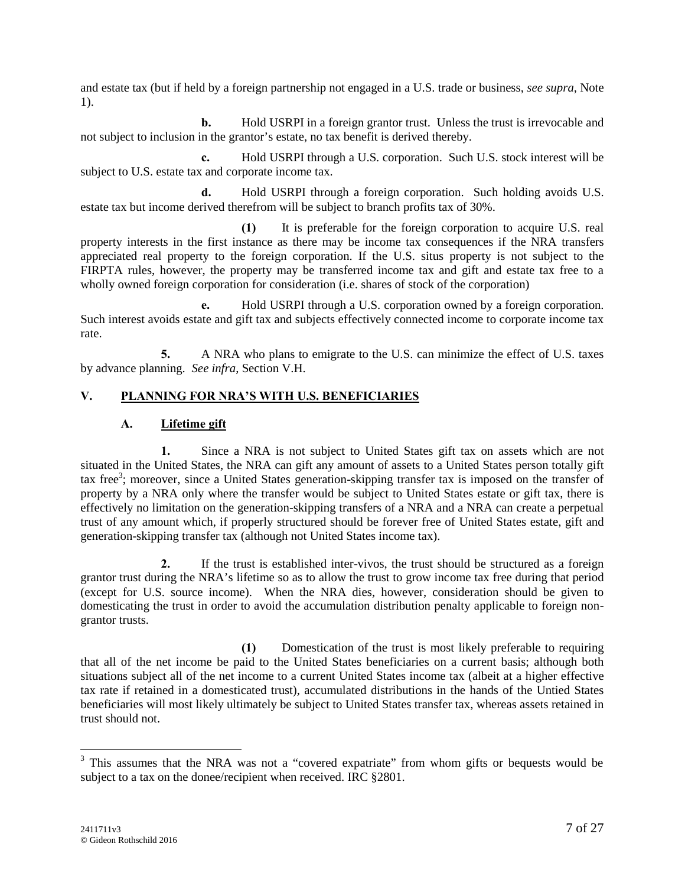and estate tax (but if held by a foreign partnership not engaged in a U.S. trade or business, *see supra*, Note 1).

**b.** Hold USRPI in a foreign grantor trust. Unless the trust is irrevocable and not subject to inclusion in the grantor's estate, no tax benefit is derived thereby.

**c.** Hold USRPI through a U.S. corporation. Such U.S. stock interest will be subject to U.S. estate tax and corporate income tax.

**d.** Hold USRPI through a foreign corporation. Such holding avoids U.S. estate tax but income derived therefrom will be subject to branch profits tax of 30%.

**(1)** It is preferable for the foreign corporation to acquire U.S. real property interests in the first instance as there may be income tax consequences if the NRA transfers appreciated real property to the foreign corporation. If the U.S. situs property is not subject to the FIRPTA rules, however, the property may be transferred income tax and gift and estate tax free to a wholly owned foreign corporation for consideration (i.e. shares of stock of the corporation)

**e.** Hold USRPI through a U.S. corporation owned by a foreign corporation. Such interest avoids estate and gift tax and subjects effectively connected income to corporate income tax rate.

**5.** A NRA who plans to emigrate to the U.S. can minimize the effect of U.S. taxes by advance planning. *See infra*, Section V.H.

# **V. PLANNING FOR NRA'S WITH U.S. BENEFICIARIES**

#### **A. Lifetime gift**

**1.** Since a NRA is not subject to United States gift tax on assets which are not situated in the United States, the NRA can gift any amount of assets to a United States person totally gift tax free<sup>3</sup>; moreover, since a United States generation-skipping transfer tax is imposed on the transfer of property by a NRA only where the transfer would be subject to United States estate or gift tax, there is effectively no limitation on the generation-skipping transfers of a NRA and a NRA can create a perpetual trust of any amount which, if properly structured should be forever free of United States estate, gift and generation-skipping transfer tax (although not United States income tax).

**2.** If the trust is established inter-vivos, the trust should be structured as a foreign grantor trust during the NRA's lifetime so as to allow the trust to grow income tax free during that period (except for U.S. source income). When the NRA dies, however, consideration should be given to domesticating the trust in order to avoid the accumulation distribution penalty applicable to foreign non grantor trusts.

**(1)** Domestication of the trust is most likely preferable to requiring that all of the net income be paid to the United States beneficiaries on a current basis; although both situations subject all of the net income to a current United States income tax (albeit at a higher effective tax rate if retained in a domesticated trust), accumulated distributions in the hands of the Untied States beneficiaries will most likely ultimately be subject to United States transfer tax, whereas assets retained in trust should not.

<sup>&</sup>lt;sup>3</sup> This assumes that the NRA was not a "covered expatriate" from whom gifts or bequests would be subject to a tax on the donee/recipient when received. IRC §2801.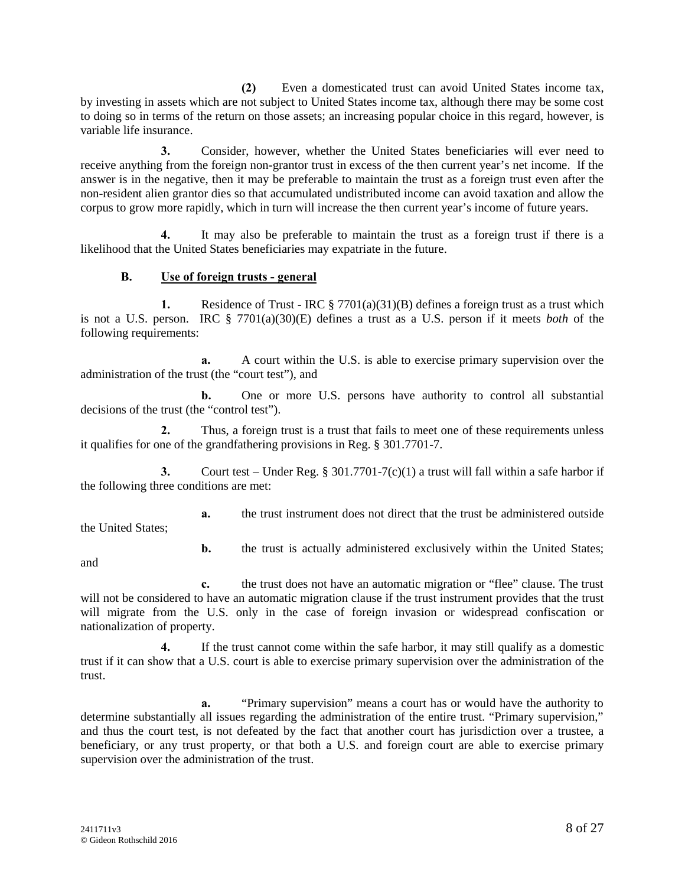**(2)** Even a domesticated trust can avoid United States income tax, by investing in assets which are not subject to United States income tax, although there may be some cost to doing so in terms of the return on those assets; an increasing popular choice in this regard, however, is variable life insurance.

**3.** Consider, however, whether the United States beneficiaries will ever need to receive anything from the foreign non-grantor trust in excess of the then current year's net income. If the answer is in the negative, then it may be preferable to maintain the trust as a foreign trust even after the non-resident alien grantor dies so that accumulated undistributed income can avoid taxation and allow the corpus to grow more rapidly, which in turn will increase the then current year's income of future years.

**4.** It may also be preferable to maintain the trust as a foreign trust if there is a likelihood that the United States beneficiaries may expatriate in the future.

#### **B. Use of foreign trusts - general**

**1.** Residence of Trust - IRC § 7701(a)(31)(B) defines a foreign trust as a trust which is not a U.S. person. IRC § 7701(a)(30)(E) defines a trust as a U.S. person if it meets *both* of the following requirements:

**a.** A court within the U.S. is able to exercise primary supervision over the administration of the trust (the "court test"), and

**b.** One or more U.S. persons have authority to control all substantial decisions of the trust (the "control test").

**2.** Thus, a foreign trust is a trust that fails to meet one of these requirements unless it qualifies for one of the grandfathering provisions in Reg. § 301.7701-7.

**3.** Court test – Under Reg. § 301.7701-7(c)(1) a trust will fall within a safe harbor if the following three conditions are met:

**a.** the trust instrument does not direct that the trust be administered outside the United States;

**b.** the trust is actually administered exclusively within the United States;

and

**c.** the trust does not have an automatic migration or "flee" clause. The trust will not be considered to have an automatic migration clause if the trust instrument provides that the trust will migrate from the U.S. only in the case of foreign invasion or widespread confiscation or nationalization of property.

**4.** If the trust cannot come within the safe harbor, it may still qualify as a domestic trust if it can show that a U.S. court is able to exercise primary supervision over the administration of the trust.

**a.** "Primary supervision" means a court has or would have the authority to determine substantially all issues regarding the administration of the entire trust. "Primary supervision," and thus the court test, is not defeated by the fact that another court has jurisdiction over a trustee, a beneficiary, or any trust property, or that both a U.S. and foreign court are able to exercise primary supervision over the administration of the trust.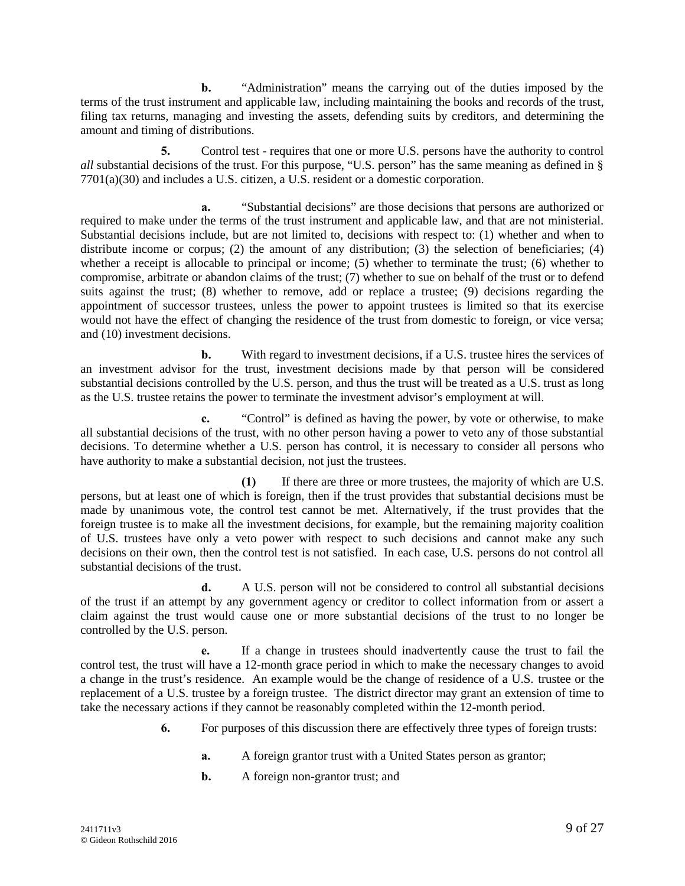**b.** "Administration" means the carrying out of the duties imposed by the terms of the trust instrument and applicable law, including maintaining the books and records of the trust, filing tax returns, managing and investing the assets, defending suits by creditors, and determining the amount and timing of distributions.

**5.** Control test - requires that one or more U.S. persons have the authority to control *all* substantial decisions of the trust. For this purpose, "U.S. person" has the same meaning as defined in § 7701(a)(30) and includes a U.S. citizen, a U.S. resident or a domestic corporation.

**a.** "Substantial decisions" are those decisions that persons are authorized or required to make under the terms of the trust instrument and applicable law, and that are not ministerial. Substantial decisions include, but are not limited to, decisions with respect to: (1) whether and when to distribute income or corpus; (2) the amount of any distribution; (3) the selection of beneficiaries; (4) whether a receipt is allocable to principal or income; (5) whether to terminate the trust; (6) whether to compromise, arbitrate or abandon claims of the trust; (7) whether to sue on behalf of the trust or to defend suits against the trust; (8) whether to remove, add or replace a trustee; (9) decisions regarding the appointment of successor trustees, unless the power to appoint trustees is limited so that its exercise would not have the effect of changing the residence of the trust from domestic to foreign, or vice versa; and (10) investment decisions.

**b.** With regard to investment decisions, if a U.S. trustee hires the services of an investment advisor for the trust, investment decisions made by that person will be considered substantial decisions controlled by the U.S. person, and thus the trust will be treated as a U.S. trust as long as the U.S. trustee retains the power to terminate the investment advisor's employment at will.

**c.** "Control" is defined as having the power, by vote or otherwise, to make all substantial decisions of the trust, with no other person having a power to veto any of those substantial decisions. To determine whether a U.S. person has control, it is necessary to consider all persons who have authority to make a substantial decision, not just the trustees.

**(1)** If there are three or more trustees, the majority of which are U.S. persons, but at least one of which is foreign, then if the trust provides that substantial decisions must be made by unanimous vote, the control test cannot be met. Alternatively, if the trust provides that the foreign trustee is to make all the investment decisions, for example, but the remaining majority coalition of U.S. trustees have only a veto power with respect to such decisions and cannot make any such decisions on their own, then the control test is not satisfied. In each case, U.S. persons do not control all substantial decisions of the trust.

**d.** A U.S. person will not be considered to control all substantial decisions of the trust if an attempt by any government agency or creditor to collect information from or assert a claim against the trust would cause one or more substantial decisions of the trust to no longer be controlled by the U.S. person.

**e.** If a change in trustees should inadvertently cause the trust to fail the control test, the trust will have a 12-month grace period in which to make the necessary changes to avoid a change in the trust's residence. An example would be the change of residence of a U.S. trustee or the replacement of a U.S. trustee by a foreign trustee. The district director may grant an extension of time to take the necessary actions if they cannot be reasonably completed within the 12-month period.

- **6.** For purposes of this discussion there are effectively three types of foreign trusts:
	- **a.** A foreign grantor trust with a United States person as grantor;
	- **b.** A foreign non-grantor trust; and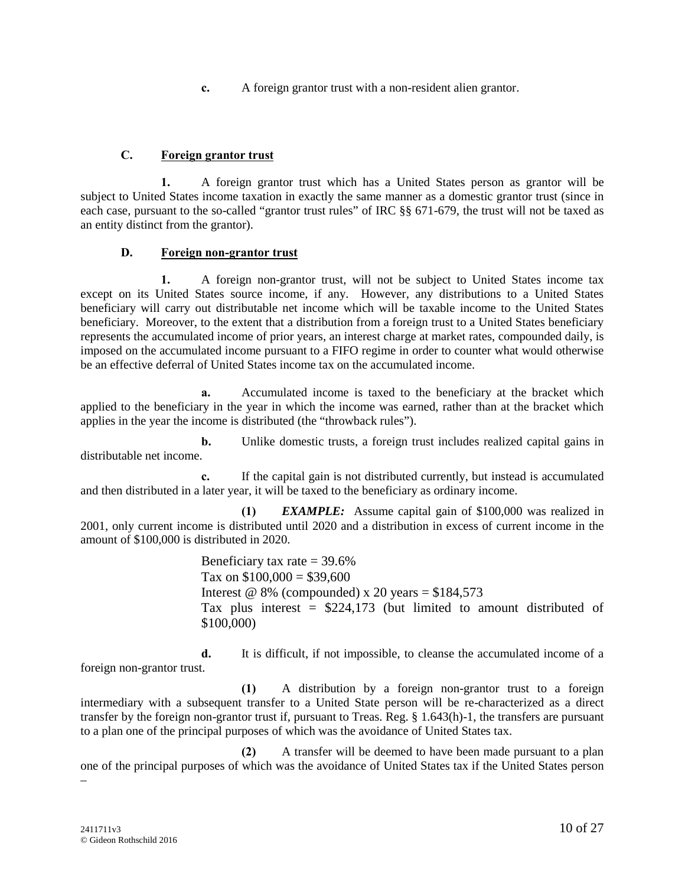**c.** A foreign grantor trust with a non-resident alien grantor.

# **C. Foreign grantor trust**

**1.** A foreign grantor trust which has a United States person as grantor will be subject to United States income taxation in exactly the same manner as a domestic grantor trust (since in each case, pursuant to the so-called "grantor trust rules" of IRC §§ 671-679, the trust will not be taxed as an entity distinct from the grantor).

# **D. Foreign non-grantor trust**

**1.** A foreign non-grantor trust, will not be subject to United States income tax except on its United States source income, if any. However, any distributions to a United States beneficiary will carry out distributable net income which will be taxable income to the United States beneficiary. Moreover, to the extent that a distribution from a foreign trust to a United States beneficiary represents the accumulated income of prior years, an interest charge at market rates, compounded daily, is imposed on the accumulated income pursuant to a FIFO regime in order to counter what would otherwise be an effective deferral of United States income tax on the accumulated income.

**a.** Accumulated income is taxed to the beneficiary at the bracket which applied to the beneficiary in the year in which the income was earned, rather than at the bracket which applies in the year the income is distributed (the "throwback rules").

**b.** Unlike domestic trusts, a foreign trust includes realized capital gains in distributable net income.

**c.** If the capital gain is not distributed currently, but instead is accumulated and then distributed in a later year, it will be taxed to the beneficiary as ordinary income.

**(1)** *EXAMPLE:* Assume capital gain of \$100,000 was realized in 2001, only current income is distributed until 2020 and a distribution in excess of current income in the amount of \$100,000 is distributed in 2020.

> Beneficiary tax rate  $=$  39.6% Tax on  $$100,000 = $39,600$ Interest @ 8% (compounded) x 20 years =  $$184,573$ Tax plus interest  $=$  \$224,173 (but limited to amount distributed of \$100,000)

**d.** It is difficult, if not impossible, to cleanse the accumulated income of a foreign non-grantor trust.

**(1)** A distribution by a foreign non-grantor trust to a foreign intermediary with a subsequent transfer to a United State person will be re-characterized as a direct transfer by the foreign non-grantor trust if, pursuant to Treas. Reg. § 1.643(h)-1, the transfers are pursuant to a plan one of the principal purposes of which was the avoidance of United States tax.

**(2)** A transfer will be deemed to have been made pursuant to a plan one of the principal purposes of which was the avoidance of United States tax if the United States person –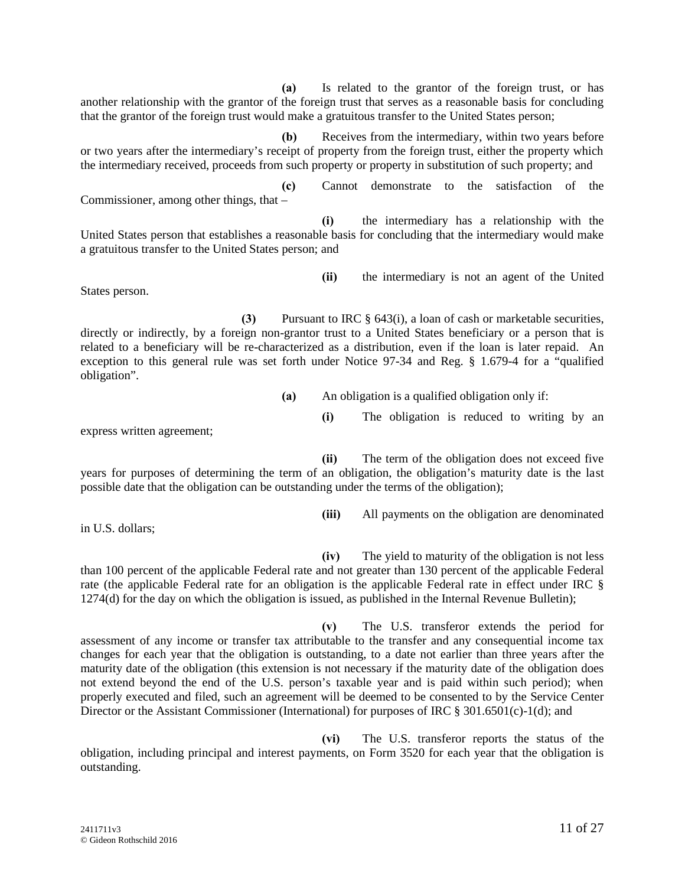**(a)** Is related to the grantor of the foreign trust, or has another relationship with the grantor of the foreign trust that serves as a reasonable basis for concluding that the grantor of the foreign trust would make a gratuitous transfer to the United States person;

**(b)** Receives from the intermediary, within two years before or two years after the intermediary's receipt of property from the foreign trust, either the property which the intermediary received, proceeds from such property or property in substitution of such property; and

**(c)** Cannot demonstrate to the satisfaction of the Commissioner, among other things, that –

**(i)** the intermediary has a relationship with the United States person that establishes a reasonable basis for concluding that the intermediary would make a gratuitous transfer to the United States person; and

States person.

**(3)** Pursuant to IRC § 643(i), a loan of cash or marketable securities, directly or indirectly, by a foreign non-grantor trust to a United States beneficiary or a person that is related to a beneficiary will be re-characterized as a distribution, even if the loan is later repaid. An exception to this general rule was set forth under Notice 97-34 and Reg. § 1.679-4 for a "qualified obligation".

**(a)** An obligation is a qualified obligation only if:

**(i)** The obligation is reduced to writing by an

**(ii)** the intermediary is not an agent of the United

express written agreement;

**(ii)** The term of the obligation does not exceed five years for purposes of determining the term of an obligation, the obligation's maturity date is the last possible date that the obligation can be outstanding under the terms of the obligation);

**(iii)** All payments on the obligation are denominated

**(iv)** The yield to maturity of the obligation is not less than 100 percent of the applicable Federal rate and not greater than 130 percent of the applicable Federal rate (the applicable Federal rate for an obligation is the applicable Federal rate in effect under IRC § 1274(d) for the day on which the obligation is issued, as published in the Internal Revenue Bulletin);

**(v)** The U.S. transferor extends the period for assessment of any income or transfer tax attributable to the transfer and any consequential income tax changes for each year that the obligation is outstanding, to a date not earlier than three years after the maturity date of the obligation (this extension is not necessary if the maturity date of the obligation does not extend beyond the end of the U.S. person's taxable year and is paid within such period); when properly executed and filed, such an agreement will be deemed to be consented to by the Service Center Director or the Assistant Commissioner (International) for purposes of IRC § 301.6501(c)-1(d); and

**(vi)** The U.S. transferor reports the status of the obligation, including principal and interest payments, on Form 3520 for each year that the obligation is outstanding.

in U.S. dollars;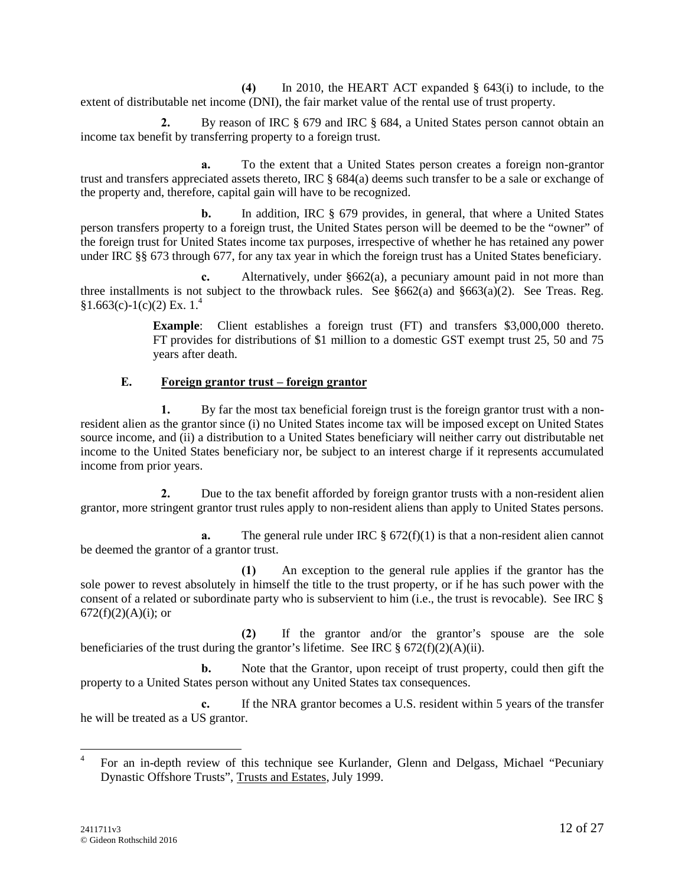**(4)** In 2010, the HEART ACT expanded § 643(i) to include, to the extent of distributable net income (DNI), the fair market value of the rental use of trust property.

**2.** By reason of IRC § 679 and IRC § 684, a United States person cannot obtain an income tax benefit by transferring property to a foreign trust.

**a.** To the extent that a United States person creates a foreign non-grantor trust and transfers appreciated assets thereto, IRC § 684(a) deems such transfer to be a sale or exchange of the property and, therefore, capital gain will have to be recognized.

**b.** In addition, IRC § 679 provides, in general, that where a United States person transfers property to a foreign trust, the United States person will be deemed to be the "owner" of the foreign trust for United States income tax purposes, irrespective of whether he has retained any power under IRC §§ 673 through 677, for any tax year in which the foreign trust has a United States beneficiary.

**c.** Alternatively, under §662(a), a pecuniary amount paid in not more than three installments is not subject to the throwback rules. See  $§662(a)$  and  $§663(a)(2)$ . See Treas. Reg.  $§1.663(c)-1(c)(2)$  Ex. 1.<sup>4</sup>

> **Example**: Client establishes a foreign trust (FT) and transfers \$3,000,000 thereto. FT provides for distributions of \$1 million to a domestic GST exempt trust 25, 50 and 75 years after death.

# **E. Foreign grantor trust – foreign grantor**

**1.** By far the most tax beneficial foreign trust is the foreign grantor trust with a nonresident alien as the grantor since (i) no United States income tax will be imposed except on United States source income, and (ii) a distribution to a United States beneficiary will neither carry out distributable net income to the United States beneficiary nor, be subject to an interest charge if it represents accumulated income from prior years.

**2.** Due to the tax benefit afforded by foreign grantor trusts with a non-resident alien grantor, more stringent grantor trust rules apply to non-resident aliens than apply to United States persons.

**a.** The general rule under IRC  $\S 672(f)(1)$  is that a non-resident alien cannot be deemed the grantor of a grantor trust.

**(1)** An exception to the general rule applies if the grantor has the sole power to revest absolutely in himself the title to the trust property, or if he has such power with the consent of a related or subordinate party who is subservient to him (i.e., the trust is revocable). See IRC §  $672(f)(2)(A)(i)$ ; or

**(2)** If the grantor and/or the grantor's spouse are the sole beneficiaries of the trust during the grantor's lifetime. See IRC  $\S 672(f)(2)(A)(ii)$ .

**b.** Note that the Grantor, upon receipt of trust property, could then gift the property to a United States person without any United States tax consequences.

**c.** If the NRA grantor becomes a U.S. resident within 5 years of the transfer he will be treated as a US grantor.

<sup>&</sup>lt;sup>4</sup> For an in-depth review of this technique see Kurlander, Glenn and Delgass, Michael "Pecuniary Dynastic Offshore Trusts", Trusts and Estates, July 1999.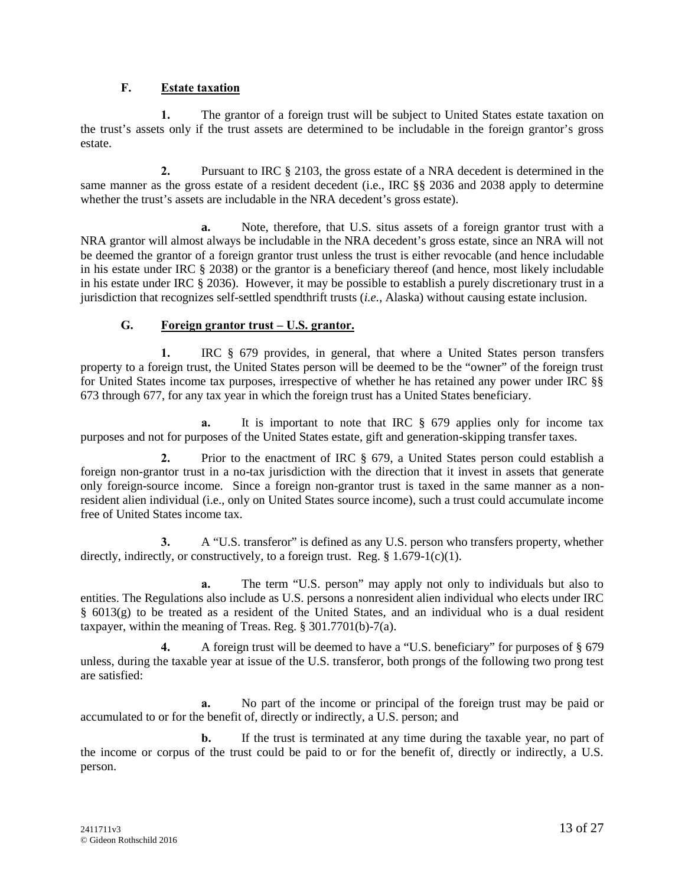#### **F. Estate taxation**

**1.** The grantor of a foreign trust will be subject to United States estate taxation on the trust's assets only if the trust assets are determined to be includable in the foreign grantor's gross estate.

**2.** Pursuant to IRC § 2103, the gross estate of a NRA decedent is determined in the same manner as the gross estate of a resident decedent (i.e., IRC §§ 2036 and 2038 apply to determine whether the trust's assets are includable in the NRA decedent's gross estate).

**a.** Note, therefore, that U.S. situs assets of a foreign grantor trust with a NRA grantor will almost always be includable in the NRA decedent's gross estate, since an NRA will not be deemed the grantor of a foreign grantor trust unless the trust is either revocable (and hence includable in his estate under IRC § 2038) or the grantor is a beneficiary thereof (and hence, most likely includable in his estate under IRC § 2036). However, it may be possible to establish a purely discretionary trust in a jurisdiction that recognizes self-settled spendthrift trusts (*i.e.*, Alaska) without causing estate inclusion.

# **G. Foreign grantor trust – U.S. grantor.**

**1.** IRC § 679 provides, in general, that where a United States person transfers property to a foreign trust, the United States person will be deemed to be the "owner" of the foreign trust for United States income tax purposes, irrespective of whether he has retained any power under IRC §§ 673 through 677, for any tax year in which the foreign trust has a United States beneficiary.

**a.** It is important to note that IRC § 679 applies only for income tax purposes and not for purposes of the United States estate, gift and generation-skipping transfer taxes.

**2.** Prior to the enactment of IRC § 679, a United States person could establish a foreign non-grantor trust in a no-tax jurisdiction with the direction that it invest in assets that generate only foreign-source income. Since a foreign non-grantor trust is taxed in the same manner as a nonresident alien individual (i.e., only on United States source income), such a trust could accumulate income free of United States income tax.

**3.** A "U.S. transferor" is defined as any U.S. person who transfers property, whether directly, indirectly, or constructively, to a foreign trust. Reg.  $\S 1.679-1(c)(1)$ .

**a.** The term "U.S. person" may apply not only to individuals but also to entities. The Regulations also include as U.S. persons a nonresident alien individual who elects under IRC  $§$  6013(g) to be treated as a resident of the United States, and an individual who is a dual resident taxpayer, within the meaning of Treas. Reg. § 301.7701(b)-7(a).

**4.** A foreign trust will be deemed to have a "U.S. beneficiary" for purposes of § 679 unless, during the taxable year at issue of the U.S. transferor, both prongs of the following two prong test are satisfied:

**a.** No part of the income or principal of the foreign trust may be paid or accumulated to or for the benefit of, directly or indirectly, a U.S. person; and

**b.** If the trust is terminated at any time during the taxable year, no part of the income or corpus of the trust could be paid to or for the benefit of, directly or indirectly, a U.S. person.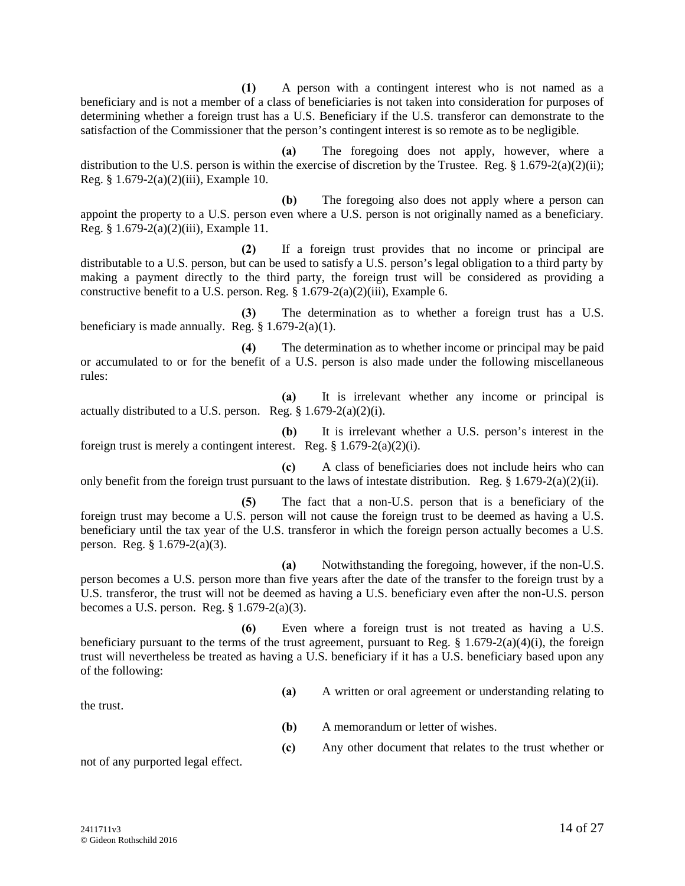**(1)** A person with a contingent interest who is not named as a beneficiary and is not a member of a class of beneficiaries is not taken into consideration for purposes of determining whether a foreign trust has a U.S. Beneficiary if the U.S. transferor can demonstrate to the satisfaction of the Commissioner that the person's contingent interest is so remote as to be negligible.

**(a)** The foregoing does not apply, however, where a distribution to the U.S. person is within the exercise of discretion by the Trustee. Reg.  $\S$  1.679-2(a)(2)(ii); Reg. § 1.679-2(a)(2)(iii), Example 10.

**(b)** The foregoing also does not apply where a person can appoint the property to a U.S. person even where a U.S. person is not originally named as a beneficiary. Reg. § 1.679-2(a)(2)(iii), Example 11.

**(2)** If a foreign trust provides that no income or principal are distributable to a U.S. person, but can be used to satisfy a U.S. person's legal obligation to a third party by making a payment directly to the third party, the foreign trust will be considered as providing a constructive benefit to a U.S. person. Reg. § 1.679-2(a)(2)(iii), Example 6.

**(3)** The determination as to whether a foreign trust has a U.S. beneficiary is made annually. Reg.  $\S 1.679-2(a)(1)$ .

**(4)** The determination as to whether income or principal may be paid or accumulated to or for the benefit of a U.S. person is also made under the following miscellaneous rules:

**(a)** It is irrelevant whether any income or principal is actually distributed to a U.S. person. Reg.  $\S 1.679-2(a)(2)(i)$ .

**(b)** It is irrelevant whether a U.S. person's interest in the foreign trust is merely a contingent interest. Reg.  $\S 1.679-2(a)(2)(i)$ .

**(c)** A class of beneficiaries does not include heirs who can only benefit from the foreign trust pursuant to the laws of intestate distribution. Reg. § 1.679-2(a)(2)(ii).

**(5)** The fact that a non-U.S. person that is a beneficiary of the foreign trust may become a U.S. person will not cause the foreign trust to be deemed as having a U.S. beneficiary until the tax year of the U.S. transferor in which the foreign person actually becomes a U.S. person. Reg. § 1.679-2(a)(3).

**(a)** Notwithstanding the foregoing, however, if the non-U.S. person becomes a U.S. person more than five years after the date of the transfer to the foreign trust by a U.S. transferor, the trust will not be deemed as having a U.S. beneficiary even after the non-U.S. person becomes a U.S. person. Reg. § 1.679-2(a)(3).

**(6)** Even where a foreign trust is not treated as having a U.S. beneficiary pursuant to the terms of the trust agreement, pursuant to Reg.  $\S$  1.679-2(a)(4)(i), the foreign trust will nevertheless be treated as having a U.S. beneficiary if it has a U.S. beneficiary based upon any of the following:

**(a)** A written or oral agreement or understanding relating to

the trust.

- **(b)** A memorandum or letter of wishes.
- **(c)** Any other document that relates to the trust whether or

not of any purported legal effect.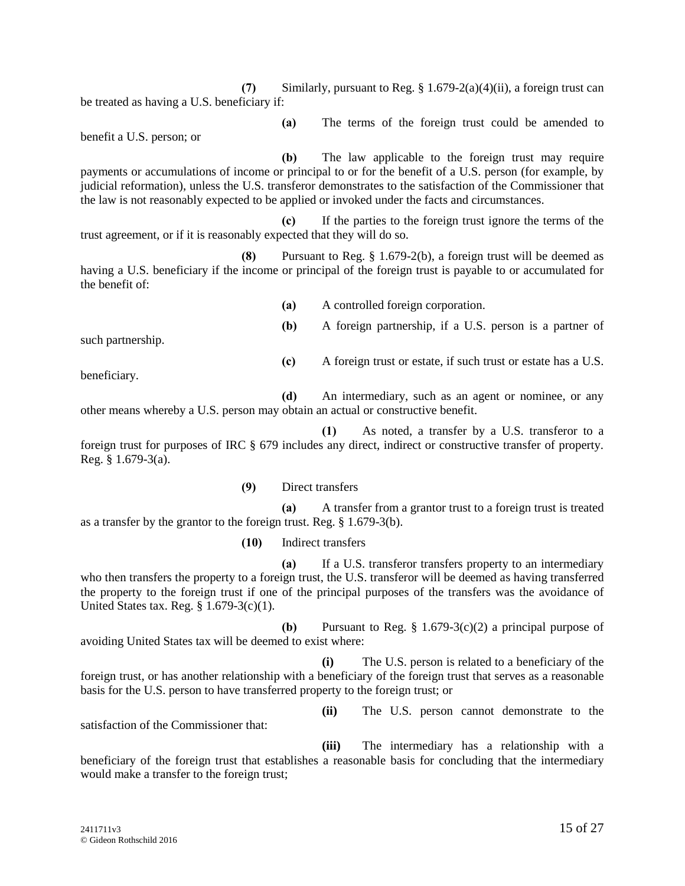**(7)** Similarly, pursuant to Reg. § 1.679-2(a)(4)(ii), a foreign trust can be treated as having a U.S. beneficiary if:

benefit a U.S. person; or

**(b)** The law applicable to the foreign trust may require payments or accumulations of income or principal to or for the benefit of a U.S. person (for example, by judicial reformation), unless the U.S. transferor demonstrates to the satisfaction of the Commissioner that the law is not reasonably expected to be applied or invoked under the facts and circumstances.

**(c)** If the parties to the foreign trust ignore the terms of the trust agreement, or if it is reasonably expected that they will do so.

**(8)** Pursuant to Reg. § 1.679-2(b), a foreign trust will be deemed as having a U.S. beneficiary if the income or principal of the foreign trust is payable to or accumulated for the benefit of:

**(a)** A controlled foreign corporation.

**(b)** A foreign partnership, if a U.S. person is a partner of

**(c)** A foreign trust or estate, if such trust or estate has a U.S.

**(a)** The terms of the foreign trust could be amended to

such partnership.

beneficiary.

**(d)** An intermediary, such as an agent or nominee, or any other means whereby a U.S. person may obtain an actual or constructive benefit.

**(1)** As noted, a transfer by a U.S. transferor to a foreign trust for purposes of IRC § 679 includes any direct, indirect or constructive transfer of property. Reg. § 1.679-3(a).

**(9)** Direct transfers

**(a)** A transfer from a grantor trust to a foreign trust is treated as a transfer by the grantor to the foreign trust. Reg. § 1.679-3(b).

**(10)** Indirect transfers

**(a)** If a U.S. transferor transfers property to an intermediary who then transfers the property to a foreign trust, the U.S. transferor will be deemed as having transferred the property to the foreign trust if one of the principal purposes of the transfers was the avoidance of United States tax. Reg. § 1.679-3(c)(1).

**(b)** Pursuant to Reg. § 1.679-3(c)(2) a principal purpose of avoiding United States tax will be deemed to exist where:

**(i)** The U.S. person is related to a beneficiary of the foreign trust, or has another relationship with a beneficiary of the foreign trust that serves as a reasonable basis for the U.S. person to have transferred property to the foreign trust; or

satisfaction of the Commissioner that:

**(iii)** The intermediary has a relationship with a beneficiary of the foreign trust that establishes a reasonable basis for concluding that the intermediary would make a transfer to the foreign trust;

**(ii)** The U.S. person cannot demonstrate to the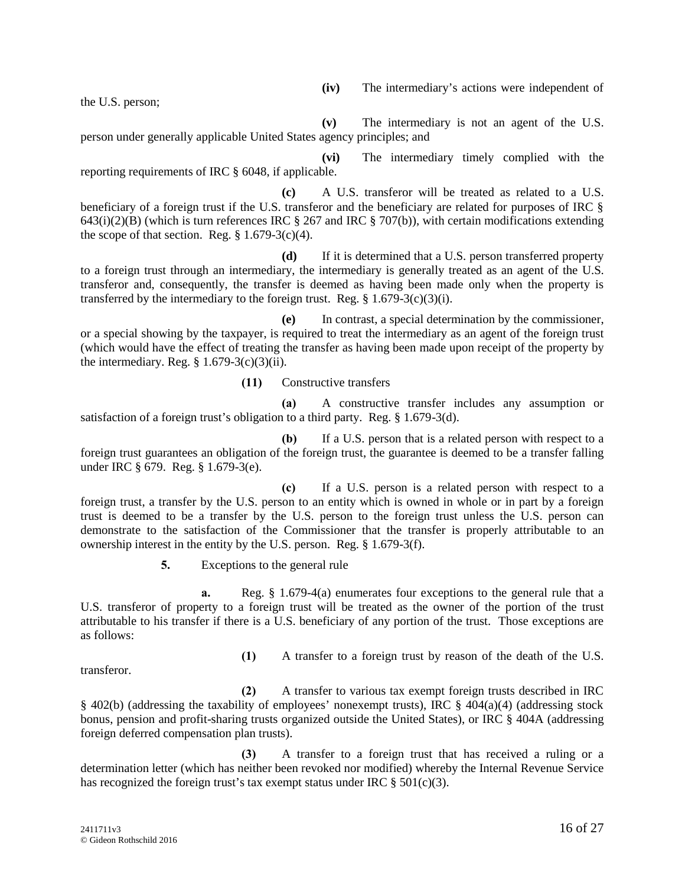the U.S. person;

**(v)** The intermediary is not an agent of the U.S. person under generally applicable United States agency principles; and

**(vi)** The intermediary timely complied with the reporting requirements of IRC § 6048, if applicable.

**(c)** A U.S. transferor will be treated as related to a U.S. beneficiary of a foreign trust if the U.S. transferor and the beneficiary are related for purposes of IRC §  $643(i)(2)(B)$  (which is turn references IRC § 267 and IRC § 707(b)), with certain modifications extending the scope of that section. Reg.  $\S 1.679-3(c)(4)$ .

**(d)** If it is determined that a U.S. person transferred property to a foreign trust through an intermediary, the intermediary is generally treated as an agent of the U.S. transferor and, consequently, the transfer is deemed as having been made only when the property is transferred by the intermediary to the foreign trust. Reg.  $§ 1.679-3(c)(3)(i)$ .

**(e)** In contrast, a special determination by the commissioner, or a special showing by the taxpayer, is required to treat the intermediary as an agent of the foreign trust (which would have the effect of treating the transfer as having been made upon receipt of the property by the intermediary. Reg.  $\S$  1.679-3(c)(3)(ii).

**(11)** Constructive transfers

**(a)** A constructive transfer includes any assumption or satisfaction of a foreign trust's obligation to a third party. Reg. § 1.679-3(d).

**(b)** If a U.S. person that is a related person with respect to a foreign trust guarantees an obligation of the foreign trust, the guarantee is deemed to be a transfer falling under IRC § 679. Reg. § 1.679-3(e).

**(c)** If a U.S. person is a related person with respect to a foreign trust, a transfer by the U.S. person to an entity which is owned in whole or in part by a foreign trust is deemed to be a transfer by the U.S. person to the foreign trust unless the U.S. person can demonstrate to the satisfaction of the Commissioner that the transfer is properly attributable to an ownership interest in the entity by the U.S. person. Reg. § 1.679-3(f).

**5.** Exceptions to the general rule

**a.** Reg. § 1.679-4(a) enumerates four exceptions to the general rule that a U.S. transferor of property to a foreign trust will be treated as the owner of the portion of the trust attributable to his transfer if there is a U.S. beneficiary of any portion of the trust. Those exceptions are as follows:

transferor.

**(1)** A transfer to a foreign trust by reason of the death of the U.S.

**(2)** A transfer to various tax exempt foreign trusts described in IRC § 402(b) (addressing the taxability of employees' nonexempt trusts), IRC § 404(a)(4) (addressing stock bonus, pension and profit-sharing trusts organized outside the United States), or IRC § 404A (addressing foreign deferred compensation plan trusts).

**(3)** A transfer to a foreign trust that has received a ruling or a determination letter (which has neither been revoked nor modified) whereby the Internal Revenue Service has recognized the foreign trust's tax exempt status under IRC  $\S 501(c)(3)$ .

**(iv)** The intermediary's actions were independent of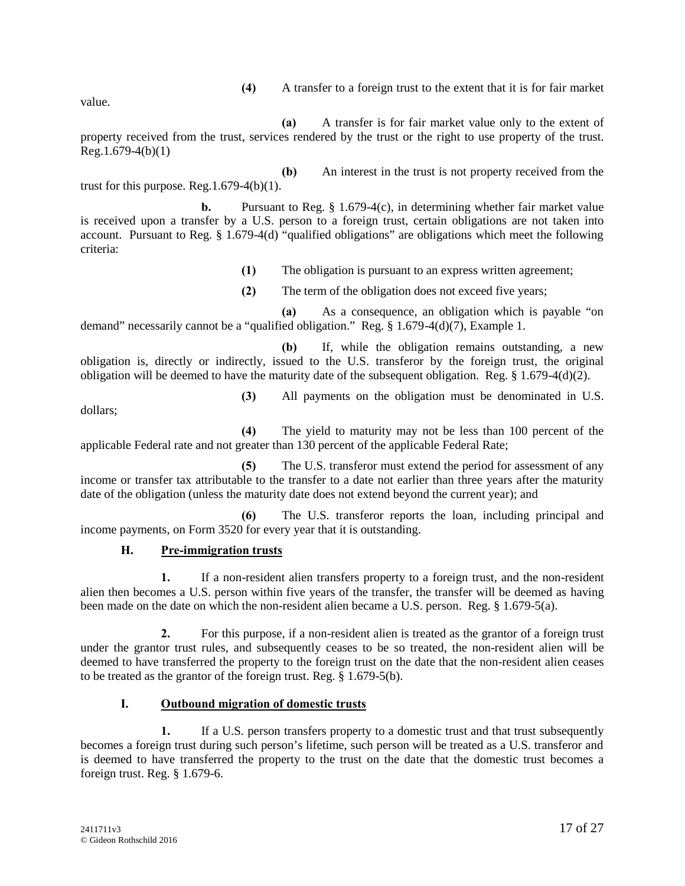**(4)** A transfer to a foreign trust to the extent that it is for fair market

value.

**(a)** A transfer is for fair market value only to the extent of property received from the trust, services rendered by the trust or the right to use property of the trust.  $Reg.1.679-4(b)(1)$ 

**(b)** An interest in the trust is not property received from the trust for this purpose.  $\text{Reg.1.679-4(b)}(1)$ .

**b.** Pursuant to Reg.  $\S$  1.679-4(c), in determining whether fair market value is received upon a transfer by a U.S. person to a foreign trust, certain obligations are not taken into account. Pursuant to Reg. § 1.679-4(d) "qualified obligations" are obligations which meet the following criteria:

- **(1)** The obligation is pursuant to an express written agreement;
- **(2)** The term of the obligation does not exceed five years;

**(a)** As a consequence, an obligation which is payable "on demand" necessarily cannot be a "qualified obligation." Reg. § 1.679-4(d)(7), Example 1.

**(b)** If, while the obligation remains outstanding, a new obligation is, directly or indirectly, issued to the U.S. transferor by the foreign trust, the original obligation will be deemed to have the maturity date of the subsequent obligation. Reg. § 1.679-4(d)(2).

dollars;

**(3)** All payments on the obligation must be denominated in U.S.

**(4)** The yield to maturity may not be less than 100 percent of the applicable Federal rate and not greater than 130 percent of the applicable Federal Rate;

**(5)** The U.S. transferor must extend the period for assessment of any income or transfer tax attributable to the transfer to a date not earlier than three years after the maturity date of the obligation (unless the maturity date does not extend beyond the current year); and

**(6)** The U.S. transferor reports the loan, including principal and income payments, on Form 3520 for every year that it is outstanding.

# **H. Pre-immigration trusts**

**1.** If a non-resident alien transfers property to a foreign trust, and the non-resident alien then becomes a U.S. person within five years of the transfer, the transfer will be deemed as having been made on the date on which the non-resident alien became a U.S. person. Reg. § 1.679-5(a).

**2.** For this purpose, if a non-resident alien is treated as the grantor of a foreign trust under the grantor trust rules, and subsequently ceases to be so treated, the non-resident alien will be deemed to have transferred the property to the foreign trust on the date that the non-resident alien ceases to be treated as the grantor of the foreign trust. Reg. § 1.679-5(b).

# **I. Outbound migration of domestic trusts**

**1.** If a U.S. person transfers property to a domestic trust and that trust subsequently becomes a foreign trust during such person's lifetime, such person will be treated as a U.S. transferor and is deemed to have transferred the property to the trust on the date that the domestic trust becomes a foreign trust. Reg. § 1.679-6.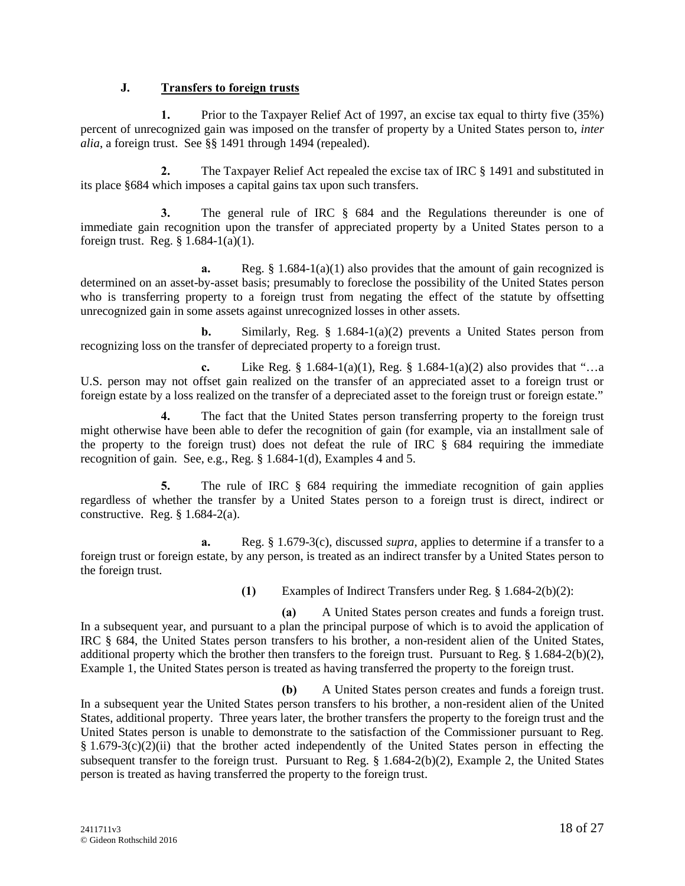#### **J. Transfers to foreign trusts**

**1.** Prior to the Taxpayer Relief Act of 1997, an excise tax equal to thirty five (35%) percent of unrecognized gain was imposed on the transfer of property by a United States person to, *inter alia*, a foreign trust. See §§ 1491 through 1494 (repealed).

**2.** The Taxpayer Relief Act repealed the excise tax of IRC § 1491 and substituted in its place §684 which imposes a capital gains tax upon such transfers.

**3.** The general rule of IRC § 684 and the Regulations thereunder is one of immediate gain recognition upon the transfer of appreciated property by a United States person to a foreign trust. Reg. § 1.684-1(a)(1).

**a.** Reg.  $\S 1.684-1(a)(1)$  also provides that the amount of gain recognized is determined on an asset-by-asset basis; presumably to foreclose the possibility of the United States person who is transferring property to a foreign trust from negating the effect of the statute by offsetting unrecognized gain in some assets against unrecognized losses in other assets.

**b.** Similarly, Reg. § 1.684-1(a)(2) prevents a United States person from recognizing loss on the transfer of depreciated property to a foreign trust.

**c.** Like Reg. § 1.684-1(a)(1), Reg. § 1.684-1(a)(2) also provides that "…a U.S. person may not offset gain realized on the transfer of an appreciated asset to a foreign trust or foreign estate by a loss realized on the transfer of a depreciated asset to the foreign trust or foreign estate."

**4.** The fact that the United States person transferring property to the foreign trust might otherwise have been able to defer the recognition of gain (for example, via an installment sale of the property to the foreign trust) does not defeat the rule of IRC § 684 requiring the immediate recognition of gain. See, e.g., Reg. § 1.684-1(d), Examples 4 and 5.

**5.** The rule of IRC § 684 requiring the immediate recognition of gain applies regardless of whether the transfer by a United States person to a foreign trust is direct, indirect or constructive. Reg. § 1.684-2(a).

**a.** Reg. § 1.679-3(c), discussed *supra*, applies to determine if a transfer to a foreign trust or foreign estate, by any person, is treated as an indirect transfer by a United States person to the foreign trust.

**(1)** Examples of Indirect Transfers under Reg. § 1.684-2(b)(2):

**(a)** A United States person creates and funds a foreign trust. In a subsequent year, and pursuant to a plan the principal purpose of which is to avoid the application of IRC § 684, the United States person transfers to his brother, a non-resident alien of the United States, additional property which the brother then transfers to the foreign trust. Pursuant to Reg. § 1.684-2(b)(2), Example 1, the United States person is treated as having transferred the property to the foreign trust.

**(b)** A United States person creates and funds a foreign trust. In a subsequent year the United States person transfers to his brother, a non-resident alien of the United States, additional property. Three years later, the brother transfers the property to the foreign trust and the United States person is unable to demonstrate to the satisfaction of the Commissioner pursuant to Reg.  $§ 1.679-3(c)(2)(ii)$  that the brother acted independently of the United States person in effecting the subsequent transfer to the foreign trust. Pursuant to Reg. § 1.684-2(b)(2), Example 2, the United States person is treated as having transferred the property to the foreign trust.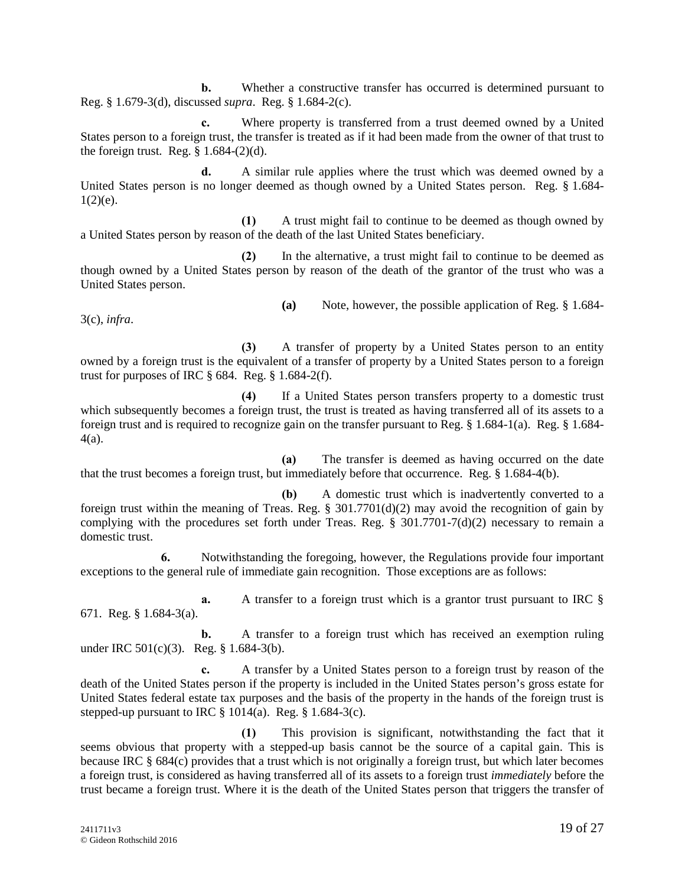**b.** Whether a constructive transfer has occurred is determined pursuant to Reg. § 1.679-3(d), discussed *supra*. Reg. § 1.684-2(c).

**c.** Where property is transferred from a trust deemed owned by a United States person to a foreign trust, the transfer is treated as if it had been made from the owner of that trust to the foreign trust. Reg.  $\S$  1.684-(2)(d).

**d.** A similar rule applies where the trust which was deemed owned by a United States person is no longer deemed as though owned by a United States person. Reg. § 1.684-  $1(2)(e)$ .

**(1)** A trust might fail to continue to be deemed as though owned by a United States person by reason of the death of the last United States beneficiary.

**(2)** In the alternative, a trust might fail to continue to be deemed as though owned by a United States person by reason of the death of the grantor of the trust who was a United States person.

3(c), *infra*.

**(a)** Note, however, the possible application of Reg. § 1.684-

**(3)** A transfer of property by a United States person to an entity owned by a foreign trust is the equivalent of a transfer of property by a United States person to a foreign trust for purposes of IRC  $\S$  684. Reg.  $\S$  1.684-2(f).

**(4)** If a United States person transfers property to a domestic trust which subsequently becomes a foreign trust, the trust is treated as having transferred all of its assets to a foreign trust and is required to recognize gain on the transfer pursuant to Reg. § 1.684-1(a). Reg. § 1.684- 4(a).

**(a)** The transfer is deemed as having occurred on the date that the trust becomes a foreign trust, but immediately before that occurrence. Reg. § 1.684-4(b).

**(b)** A domestic trust which is inadvertently converted to a foreign trust within the meaning of Treas. Reg.  $\S 301.7701(d)(2)$  may avoid the recognition of gain by complying with the procedures set forth under Treas. Reg. § 301.7701-7(d)(2) necessary to remain a domestic trust.

**6.** Notwithstanding the foregoing, however, the Regulations provide four important exceptions to the general rule of immediate gain recognition. Those exceptions are as follows:

**a.** A transfer to a foreign trust which is a grantor trust pursuant to IRC § 671. Reg. § 1.684-3(a).

**b.** A transfer to a foreign trust which has received an exemption ruling under IRC 501(c)(3). Reg. § 1.684-3(b).

**c.** A transfer by a United States person to a foreign trust by reason of the death of the United States person if the property is included in the United States person's gross estate for United States federal estate tax purposes and the basis of the property in the hands of the foreign trust is stepped-up pursuant to IRC  $\S 1014(a)$ . Reg.  $\S 1.684-3(c)$ .

**(1)** This provision is significant, notwithstanding the fact that it seems obvious that property with a stepped-up basis cannot be the source of a capital gain. This is because IRC § 684(c) provides that a trust which is not originally a foreign trust, but which later becomes a foreign trust, is considered as having transferred all of its assets to a foreign trust *immediately* before the trust became a foreign trust. Where it is the death of the United States person that triggers the transfer of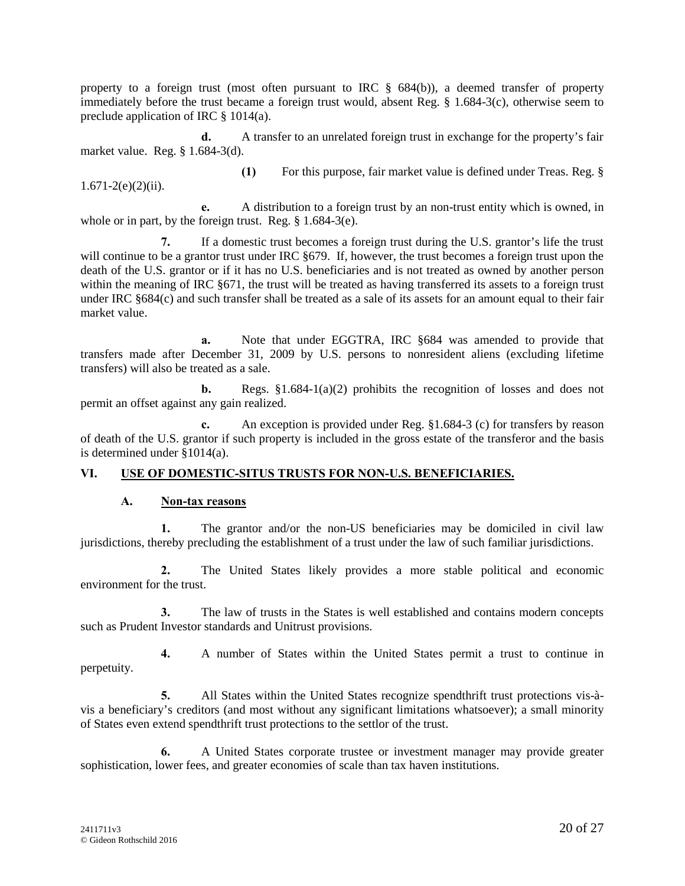property to a foreign trust (most often pursuant to IRC  $\S$  684(b)), a deemed transfer of property immediately before the trust became a foreign trust would, absent Reg. § 1.684-3(c), otherwise seem to preclude application of IRC § 1014(a).

**d.** A transfer to an unrelated foreign trust in exchange for the property's fair market value. Reg. § 1.684-3(d).

 $1.671-2(e)(2)(ii)$ .

**(1)** For this purpose, fair market value is defined under Treas. Reg. §

**e.** A distribution to a foreign trust by an non-trust entity which is owned, in whole or in part, by the foreign trust. Reg. § 1.684-3(e).

**7.** If a domestic trust becomes a foreign trust during the U.S. grantor's life the trust will continue to be a grantor trust under IRC §679. If, however, the trust becomes a foreign trust upon the death of the U.S. grantor or if it has no U.S. beneficiaries and is not treated as owned by another person within the meaning of IRC  $\S671$ , the trust will be treated as having transferred its assets to a foreign trust under IRC §684(c) and such transfer shall be treated as a sale of its assets for an amount equal to their fair market value.

**a.** Note that under EGGTRA, IRC §684 was amended to provide that transfers made after December 31, 2009 by U.S. persons to nonresident aliens (excluding lifetime transfers) will also be treated as a sale.

**b.** Regs.  $\S1.684-1(a)(2)$  prohibits the recognition of losses and does not permit an offset against any gain realized.

**c.** An exception is provided under Reg. §1.684-3 (c) for transfers by reason of death of the U.S. grantor if such property is included in the gross estate of the transferor and the basis is determined under §1014(a).

# **VI. USE OF DOMESTIC-SITUS TRUSTS FOR NON-U.S. BENEFICIARIES.**

# **A. Non-tax reasons**

**1.** The grantor and/or the non-US beneficiaries may be domiciled in civil law jurisdictions, thereby precluding the establishment of a trust under the law of such familiar jurisdictions.

**2.** The United States likely provides a more stable political and economic environment for the trust.

**3.** The law of trusts in the States is well established and contains modern concepts such as Prudent Investor standards and Unitrust provisions.

**4.** A number of States within the United States permit a trust to continue in perpetuity.

**5.** All States within the United States recognize spendthrift trust protections vis-à vis a beneficiary's creditors (and most without any significant limitations whatsoever); a small minority of States even extend spendthrift trust protections to the settlor of the trust.

**6.** A United States corporate trustee or investment manager may provide greater sophistication, lower fees, and greater economies of scale than tax haven institutions.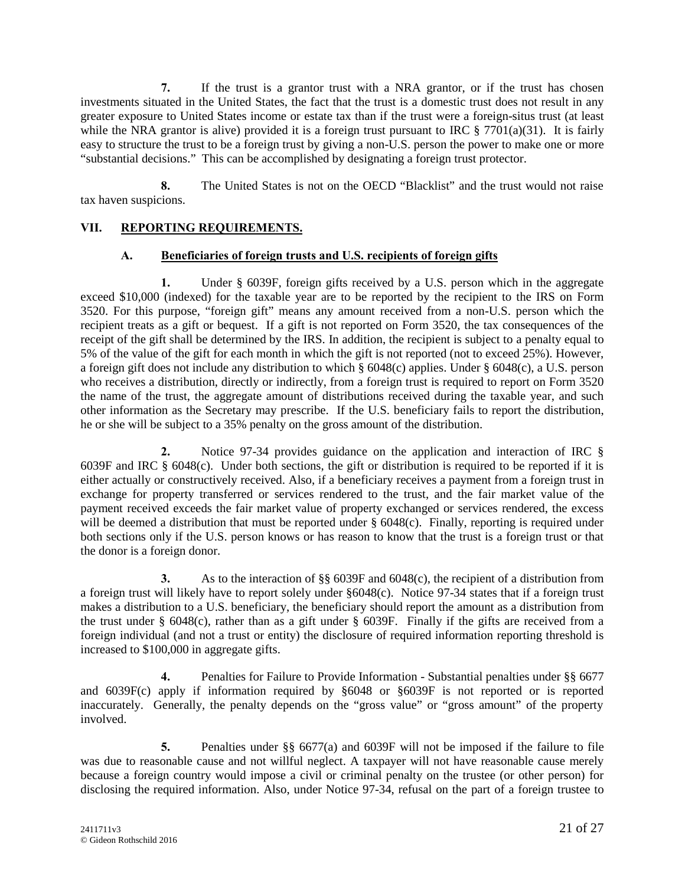**7.** If the trust is a grantor trust with a NRA grantor, or if the trust has chosen investments situated in the United States, the fact that the trust is a domestic trust does not result in any greater exposure to United States income or estate tax than if the trust were a foreign-situs trust (at least while the NRA grantor is alive) provided it is a foreign trust pursuant to IRC  $\S 7701(a)(31)$ . It is fairly easy to structure the trust to be a foreign trust by giving a non-U.S. person the power to make one or more "substantial decisions." This can be accomplished by designating a foreign trust protector.

**8.** The United States is not on the OECD "Blacklist" and the trust would not raise tax haven suspicions.

# **VII. REPORTING REQUIREMENTS.**

# **A. Beneficiaries of foreign trusts and U.S. recipients of foreign gifts**

**1.** Under § 6039F, foreign gifts received by a U.S. person which in the aggregate exceed \$10,000 (indexed) for the taxable year are to be reported by the recipient to the IRS on Form 3520. For this purpose, "foreign gift" means any amount received from a non-U.S. person which the recipient treats as a gift or bequest. If a gift is not reported on Form 3520, the tax consequences of the receipt of the gift shall be determined by the IRS. In addition, the recipient is subject to a penalty equal to 5% of the value of the gift for each month in which the gift is not reported (not to exceed 25%). However, a foreign gift does not include any distribution to which § 6048(c) applies. Under § 6048(c), a U.S. person who receives a distribution, directly or indirectly, from a foreign trust is required to report on Form 3520 the name of the trust, the aggregate amount of distributions received during the taxable year, and such other information as the Secretary may prescribe. If the U.S. beneficiary fails to report the distribution, he or she will be subject to a 35% penalty on the gross amount of the distribution.

**2.** Notice 97-34 provides guidance on the application and interaction of IRC § 6039F and IRC § 6048(c). Under both sections, the gift or distribution is required to be reported if it is either actually or constructively received. Also, if a beneficiary receives a payment from a foreign trust in exchange for property transferred or services rendered to the trust, and the fair market value of the payment received exceeds the fair market value of property exchanged or services rendered, the excess will be deemed a distribution that must be reported under § 6048(c). Finally, reporting is required under both sections only if the U.S. person knows or has reason to know that the trust is a foreign trust or that the donor is a foreign donor.

**3.** As to the interaction of §§ 6039F and 6048(c), the recipient of a distribution from a foreign trust will likely have to report solely under §6048(c). Notice 97-34 states that if a foreign trust makes a distribution to a U.S. beneficiary, the beneficiary should report the amount as a distribution from the trust under § 6048(c), rather than as a gift under § 6039F. Finally if the gifts are received from a foreign individual (and not a trust or entity) the disclosure of required information reporting threshold is increased to \$100,000 in aggregate gifts.

**4.** Penalties for Failure to Provide Information - Substantial penalties under §§ 6677 and 6039F(c) apply if information required by §6048 or §6039F is not reported or is reported inaccurately. Generally, the penalty depends on the "gross value" or "gross amount" of the property involved.

**5.** Penalties under §§ 6677(a) and 6039F will not be imposed if the failure to file was due to reasonable cause and not willful neglect. A taxpayer will not have reasonable cause merely because a foreign country would impose a civil or criminal penalty on the trustee (or other person) for disclosing the required information. Also, under Notice 97-34, refusal on the part of a foreign trustee to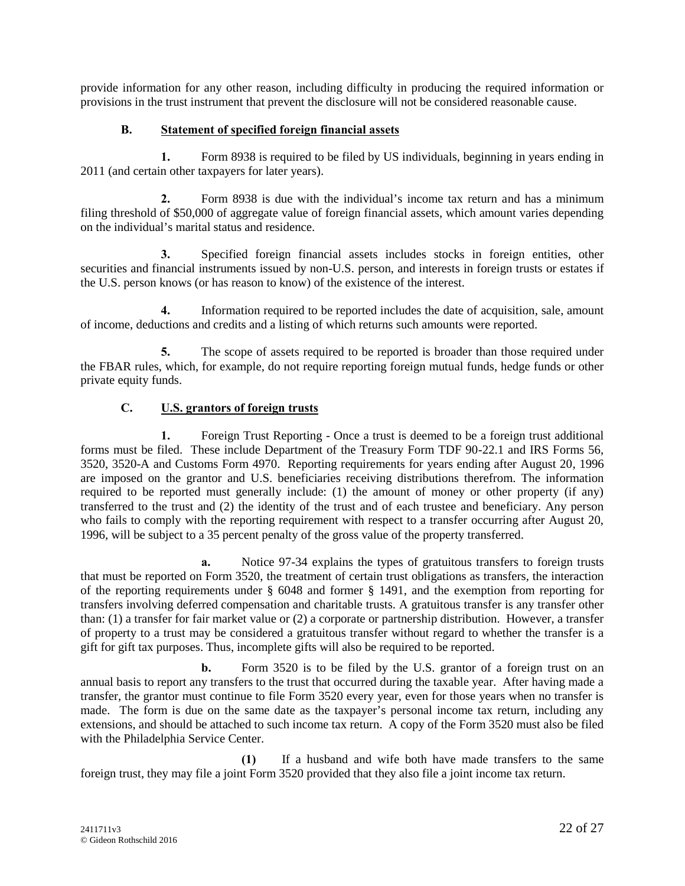provide information for any other reason, including difficulty in producing the required information or provisions in the trust instrument that prevent the disclosure will not be considered reasonable cause.

#### **B. Statement of specified foreign financial assets**

**1.** Form 8938 is required to be filed by US individuals, beginning in years ending in 2011 (and certain other taxpayers for later years).

**2.** Form 8938 is due with the individual's income tax return and has a minimum filing threshold of \$50,000 of aggregate value of foreign financial assets, which amount varies depending on the individual's marital status and residence.

**3.** Specified foreign financial assets includes stocks in foreign entities, other securities and financial instruments issued by non-U.S. person, and interests in foreign trusts or estates if the U.S. person knows (or has reason to know) of the existence of the interest.

**4.** Information required to be reported includes the date of acquisition, sale, amount of income, deductions and credits and a listing of which returns such amounts were reported.

**5.** The scope of assets required to be reported is broader than those required under the FBAR rules, which, for example, do not require reporting foreign mutual funds, hedge funds or other private equity funds.

# **C. U.S. grantors of foreign trusts**

**1.** Foreign Trust Reporting - Once a trust is deemed to be a foreign trust additional forms must be filed. These include Department of the Treasury Form TDF 90-22.1 and IRS Forms 56, 3520, 3520-A and Customs Form 4970. Reporting requirements for years ending after August 20, 1996 are imposed on the grantor and U.S. beneficiaries receiving distributions therefrom. The information required to be reported must generally include: (1) the amount of money or other property (if any) transferred to the trust and (2) the identity of the trust and of each trustee and beneficiary. Any person who fails to comply with the reporting requirement with respect to a transfer occurring after August 20, 1996, will be subject to a 35 percent penalty of the gross value of the property transferred.

**a.** Notice 97-34 explains the types of gratuitous transfers to foreign trusts that must be reported on Form 3520, the treatment of certain trust obligations as transfers, the interaction of the reporting requirements under § 6048 and former § 1491, and the exemption from reporting for transfers involving deferred compensation and charitable trusts. A gratuitous transfer is any transfer other than: (1) a transfer for fair market value or (2) a corporate or partnership distribution. However, a transfer of property to a trust may be considered a gratuitous transfer without regard to whether the transfer is a gift for gift tax purposes. Thus, incomplete gifts will also be required to be reported.

**b.** Form 3520 is to be filed by the U.S. grantor of a foreign trust on an annual basis to report any transfers to the trust that occurred during the taxable year. After having made a transfer, the grantor must continue to file Form 3520 every year, even for those years when no transfer is made. The form is due on the same date as the taxpayer's personal income tax return, including any extensions, and should be attached to such income tax return. A copy of the Form 3520 must also be filed with the Philadelphia Service Center.

**(1)** If a husband and wife both have made transfers to the same foreign trust, they may file a joint Form 3520 provided that they also file a joint income tax return.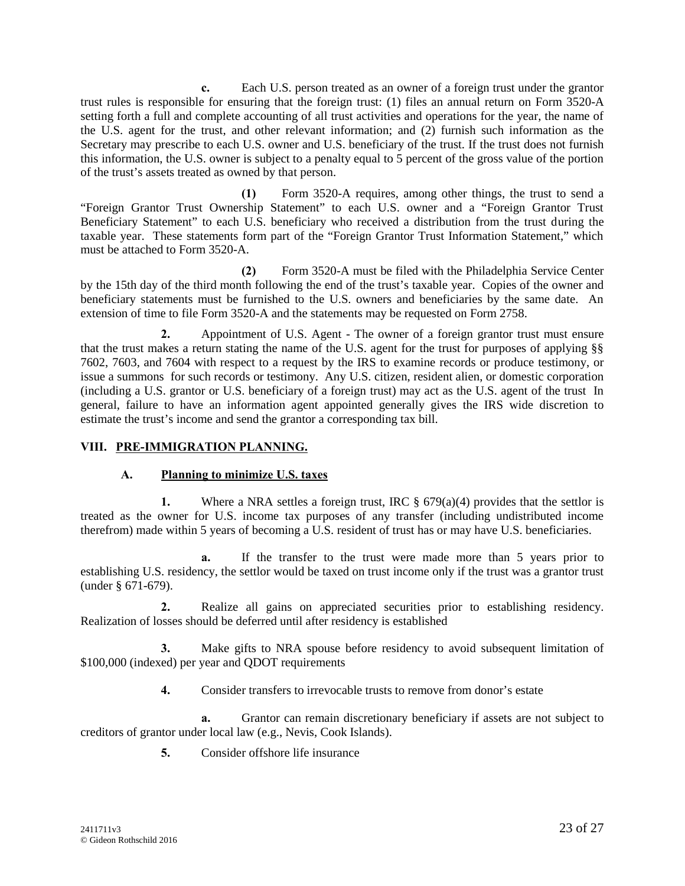**c.** Each U.S. person treated as an owner of a foreign trust under the grantor trust rules is responsible for ensuring that the foreign trust: (1) files an annual return on Form 3520-A setting forth a full and complete accounting of all trust activities and operations for the year, the name of the U.S. agent for the trust, and other relevant information; and (2) furnish such information as the Secretary may prescribe to each U.S. owner and U.S. beneficiary of the trust. If the trust does not furnish this information, the U.S. owner is subject to a penalty equal to 5 percent of the gross value of the portion of the trust's assets treated as owned by that person.

**(1)** Form 3520-A requires, among other things, the trust to send a "Foreign Grantor Trust Ownership Statement" to each U.S. owner and a "Foreign Grantor Trust Beneficiary Statement" to each U.S. beneficiary who received a distribution from the trust during the taxable year. These statements form part of the "Foreign Grantor Trust Information Statement," which must be attached to Form 3520-A.

**(2)** Form 3520-A must be filed with the Philadelphia Service Center by the 15th day of the third month following the end of the trust's taxable year. Copies of the owner and beneficiary statements must be furnished to the U.S. owners and beneficiaries by the same date. An extension of time to file Form 3520-A and the statements may be requested on Form 2758.

**2.** Appointment of U.S. Agent - The owner of a foreign grantor trust must ensure that the trust makes a return stating the name of the U.S. agent for the trust for purposes of applying §§ 7602, 7603, and 7604 with respect to a request by the IRS to examine records or produce testimony, or issue a summons for such records or testimony. Any U.S. citizen, resident alien, or domestic corporation (including a U.S. grantor or U.S. beneficiary of a foreign trust) may act as the U.S. agent of the trust In general, failure to have an information agent appointed generally gives the IRS wide discretion to estimate the trust's income and send the grantor a corresponding tax bill.

#### **VIII. PRE-IMMIGRATION PLANNING.**

#### **A. Planning to minimize U.S. taxes**

**1.** Where a NRA settles a foreign trust, IRC  $\S$  679(a)(4) provides that the settlor is treated as the owner for U.S. income tax purposes of any transfer (including undistributed income therefrom) made within 5 years of becoming a U.S. resident of trust has or may have U.S. beneficiaries.

**a.** If the transfer to the trust were made more than 5 years prior to establishing U.S. residency, the settlor would be taxed on trust income only if the trust was a grantor trust (under § 671-679).

**2.** Realize all gains on appreciated securities prior to establishing residency. Realization of losses should be deferred until after residency is established

**3.** Make gifts to NRA spouse before residency to avoid subsequent limitation of \$100,000 (indexed) per year and QDOT requirements

**4.** Consider transfers to irrevocable trusts to remove from donor's estate

**a.** Grantor can remain discretionary beneficiary if assets are not subject to creditors of grantor under local law (e.g., Nevis, Cook Islands).

**5.** Consider offshore life insurance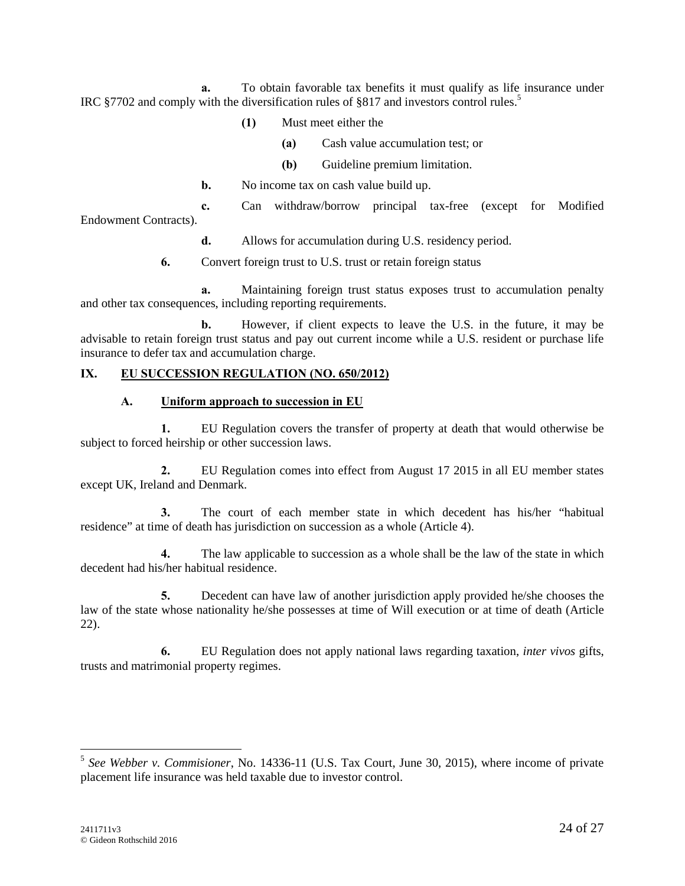**a.** To obtain favorable tax benefits it must qualify as life insurance under IRC §7702 and comply with the diversification rules of §817 and investors control rules.<sup>5</sup>

- **(1)** Must meet either the
	- **(a)** Cash value accumulation test; or
	- **(b)** Guideline premium limitation.
- **b.** No income tax on cash value build up.

**c.** Can withdraw/borrow principal tax-free (except for Modified Endowment Contracts).

**d.** Allows for accumulation during U.S. residency period.

**6.** Convert foreign trust to U.S. trust or retain foreign status

**a.** Maintaining foreign trust status exposes trust to accumulation penalty and other tax consequences, including reporting requirements.

**b.** However, if client expects to leave the U.S. in the future, it may be advisable to retain foreign trust status and pay out current income while a U.S. resident or purchase life insurance to defer tax and accumulation charge.

#### **IX. EU SUCCESSION REGULATION (NO. 650/2012)**

#### **A. Uniform approach to succession in EU**

**1.** EU Regulation covers the transfer of property at death that would otherwise be subject to forced heirship or other succession laws.

**2.** EU Regulation comes into effect from August 17 2015 in all EU member states except UK, Ireland and Denmark.

**3.** The court of each member state in which decedent has his/her "habitual residence" at time of death has jurisdiction on succession as a whole (Article 4).

**4.** The law applicable to succession as a whole shall be the law of the state in which decedent had his/her habitual residence.

**5.** Decedent can have law of another jurisdiction apply provided he/she chooses the law of the state whose nationality he/she possesses at time of Will execution or at time of death (Article 22).

**6.** EU Regulation does not apply national laws regarding taxation, *inter vivos* gifts, trusts and matrimonial property regimes.

<sup>5</sup> *See Webber v. Commisioner*, No. 14336-11 (U.S. Tax Court, June 30, 2015), where income of private placement life insurance was held taxable due to investor control.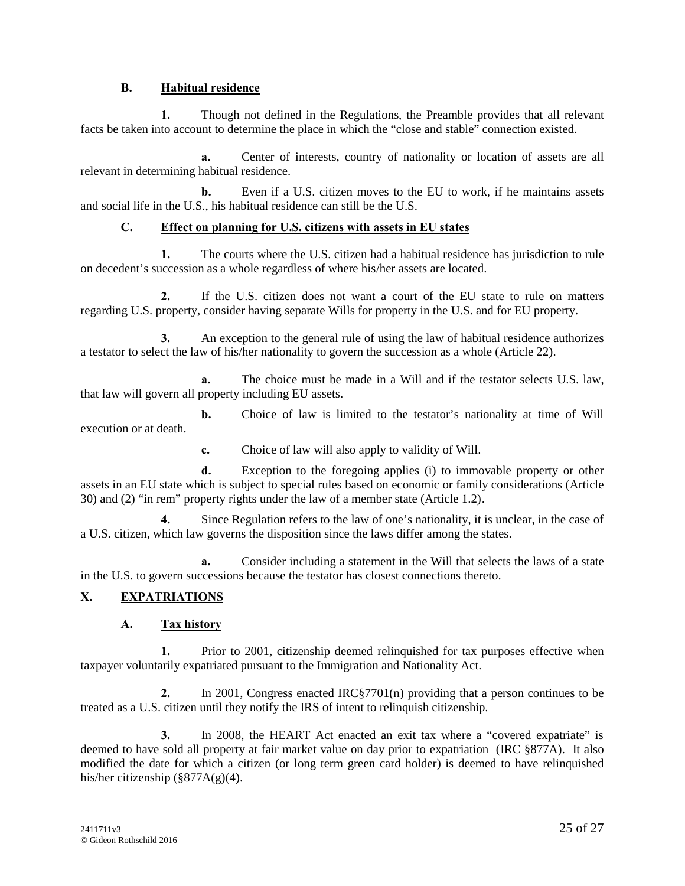#### **B. Habitual residence**

**1.** Though not defined in the Regulations, the Preamble provides that all relevant facts be taken into account to determine the place in which the "close and stable" connection existed.

**a.** Center of interests, country of nationality or location of assets are all relevant in determining habitual residence.

**b.** Even if a U.S. citizen moves to the EU to work, if he maintains assets and social life in the U.S., his habitual residence can still be the U.S.

# **C. Effect on planning for U.S. citizens with assets in EU states**

**1.** The courts where the U.S. citizen had a habitual residence has jurisdiction to rule on decedent's succession as a whole regardless of where his/her assets are located.

**2.** If the U.S. citizen does not want a court of the EU state to rule on matters regarding U.S. property, consider having separate Wills for property in the U.S. and for EU property.

**3.** An exception to the general rule of using the law of habitual residence authorizes a testator to select the law of his/her nationality to govern the succession as a whole (Article 22).

**a.** The choice must be made in a Will and if the testator selects U.S. law, that law will govern all property including EU assets.

**b.** Choice of law is limited to the testator's nationality at time of Will execution or at death.

**c.** Choice of law will also apply to validity of Will.

**d.** Exception to the foregoing applies (i) to immovable property or other assets in an EU state which is subject to special rules based on economic or family considerations (Article 30) and (2) "in rem" property rights under the law of a member state (Article 1.2).

**4.** Since Regulation refers to the law of one's nationality, it is unclear, in the case of a U.S. citizen, which law governs the disposition since the laws differ among the states.

**a.** Consider including a statement in the Will that selects the laws of a state in the U.S. to govern successions because the testator has closest connections thereto.

# **X. EXPATRIATIONS**

# **A. Tax history**

**1.** Prior to 2001, citizenship deemed relinquished for tax purposes effective when taxpayer voluntarily expatriated pursuant to the Immigration and Nationality Act.

**2.** In 2001, Congress enacted IRC§7701(n) providing that a person continues to be treated as a U.S. citizen until they notify the IRS of intent to relinquish citizenship.

**3.** In 2008, the HEART Act enacted an exit tax where a "covered expatriate" is deemed to have sold all property at fair market value on day prior to expatriation (IRC §877A). It also modified the date for which a citizen (or long term green card holder) is deemed to have relinquished his/her citizenship (§877A(g)(4).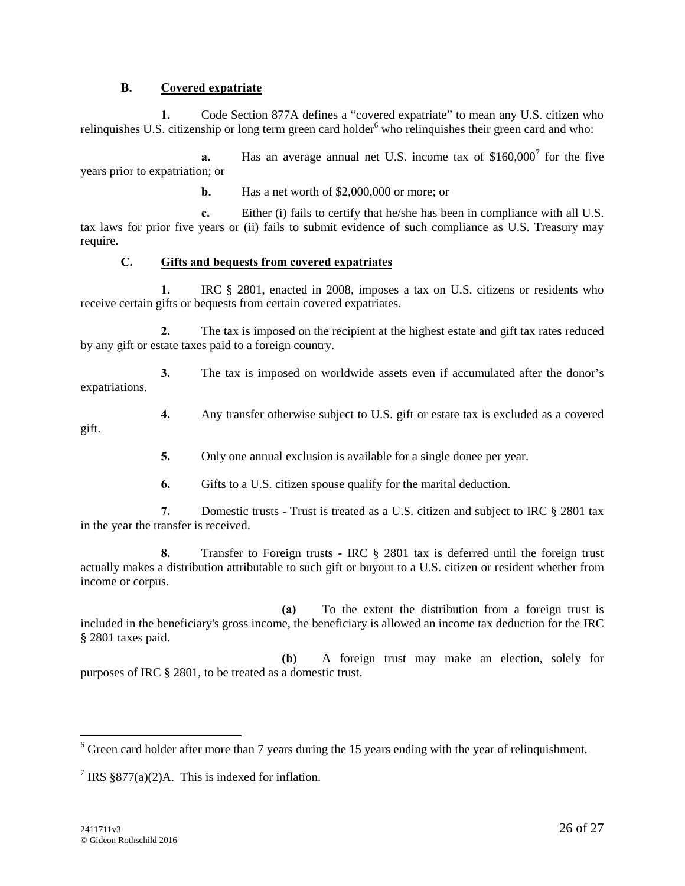#### **B. Covered expatriate**

**1.** Code Section 877A defines a "covered expatriate" to mean any U.S. citizen who relinquishes U.S. citizenship or long term green card holder<sup>6</sup> who relinquishes their green card and who:

**a.** Has an average annual net U.S. income tax of \$160,000<sup>7</sup> for the five years prior to expatriation; or

**b.** Has a net worth of \$2,000,000 or more; or

**c.** Either (i) fails to certify that he/she has been in compliance with all U.S. tax laws for prior five years or (ii) fails to submit evidence of such compliance as U.S. Treasury may require.

#### **C. Gifts and bequests from covered expatriates**

**1.** IRC § 2801, enacted in 2008, imposes a tax on U.S. citizens or residents who receive certain gifts or bequests from certain covered expatriates.

**2.** The tax is imposed on the recipient at the highest estate and gift tax rates reduced by any gift or estate taxes paid to a foreign country.

**3.** The tax is imposed on worldwide assets even if accumulated after the donor's expatriations.

**4.** Any transfer otherwise subject to U.S. gift or estate tax is excluded as a covered

**5.** Only one annual exclusion is available for a single donee per year.

**6.** Gifts to a U.S. citizen spouse qualify for the marital deduction.

**7.** Domestic trusts - Trust is treated as a U.S. citizen and subject to IRC § 2801 tax in the year the transfer is received.

**8.** Transfer to Foreign trusts - IRC § 2801 tax is deferred until the foreign trust actually makes a distribution attributable to such gift or buyout to a U.S. citizen or resident whether from income or corpus.

**(a)** To the extent the distribution from a foreign trust is included in the beneficiary's gross income, the beneficiary is allowed an income tax deduction for the IRC § 2801 taxes paid.

**(b)** A foreign trust may make an election, solely for purposes of IRC § 2801, to be treated as a domestic trust.

gift.

 $6$  Green card holder after more than 7 years during the 15 years ending with the year of relinquishment.

<sup>&</sup>lt;sup>7</sup> IRS §877(a)(2)A. This is indexed for inflation.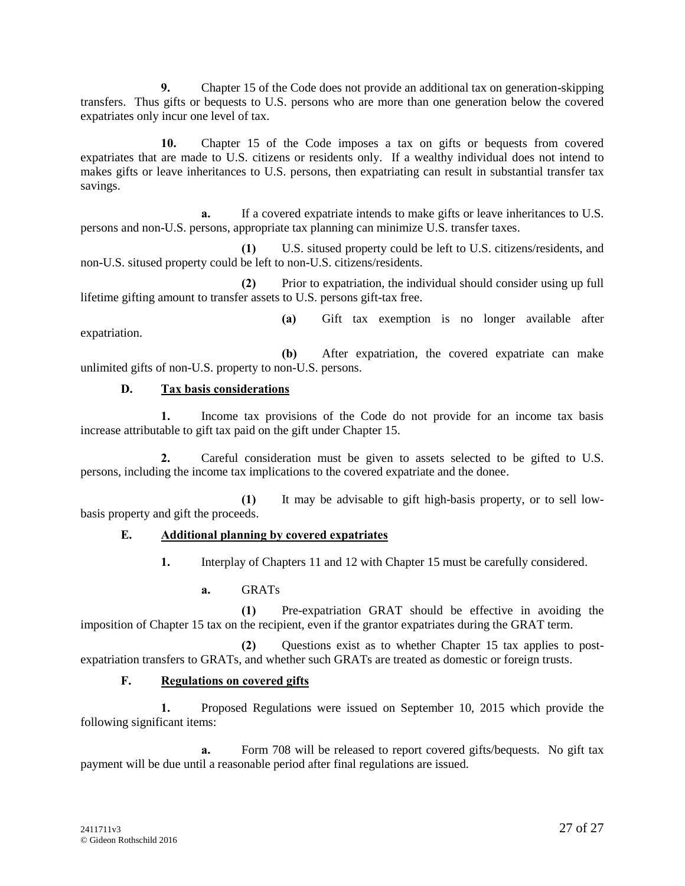**9.** Chapter 15 of the Code does not provide an additional tax on generation-skipping transfers. Thus gifts or bequests to U.S. persons who are more than one generation below the covered expatriates only incur one level of tax.

**10.** Chapter 15 of the Code imposes a tax on gifts or bequests from covered expatriates that are made to U.S. citizens or residents only. If a wealthy individual does not intend to makes gifts or leave inheritances to U.S. persons, then expatriating can result in substantial transfer tax savings.

**a.** If a covered expatriate intends to make gifts or leave inheritances to U.S. persons and non-U.S. persons, appropriate tax planning can minimize U.S. transfer taxes.

**(1)** U.S. sitused property could be left to U.S. citizens/residents, and non-U.S. sitused property could be left to non-U.S. citizens/residents.

**(2)** Prior to expatriation, the individual should consider using up full lifetime gifting amount to transfer assets to U.S. persons gift-tax free.

expatriation.

**(a)** Gift tax exemption is no longer available after

**(b)** After expatriation, the covered expatriate can make unlimited gifts of non-U.S. property to non-U.S. persons.

# **D. Tax basis considerations**

**1.** Income tax provisions of the Code do not provide for an income tax basis increase attributable to gift tax paid on the gift under Chapter 15.

**2.** Careful consideration must be given to assets selected to be gifted to U.S. persons, including the income tax implications to the covered expatriate and the donee.

**(1)** It may be advisable to gift high-basis property, or to sell low basis property and gift the proceeds.

# **E. Additional planning by covered expatriates**

**1.** Interplay of Chapters 11 and 12 with Chapter 15 must be carefully considered.

**a.** GRATs

**(1)** Pre-expatriation GRAT should be effective in avoiding the imposition of Chapter 15 tax on the recipient, even if the grantor expatriates during the GRAT term.

**(2)** Questions exist as to whether Chapter 15 tax applies to post expatriation transfers to GRATs, and whether such GRATs are treated as domestic or foreign trusts.

#### **F. Regulations on covered gifts**

**1.** Proposed Regulations were issued on September 10, 2015 which provide the following significant items:

**a.** Form 708 will be released to report covered gifts/bequests. No gift tax payment will be due until a reasonable period after final regulations are issued.